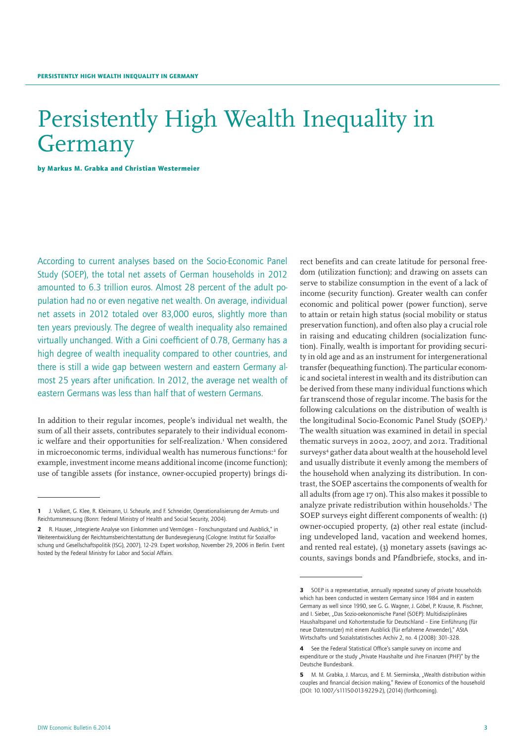# Persistently High Wealth Inequality in Germany

by Markus M. Grabka and Christian Westermeier

According to current analyses based on the Socio-Economic Panel Study (SOEP), the total net assets of German households in 2012 amounted to 6.3 trillion euros. Almost 28 percent of the adult population had no or even negative net wealth. On average, individual net assets in 2012 totaled over 83,000 euros, slightly more than ten years previously. The degree of wealth inequality also remained virtually unchanged. With a Gini coefficient of 0.78, Germany has a high degree of wealth inequality compared to other countries, and there is still a wide gap between western and eastern Germany almost 25 years after unification. In 2012, the average net wealth of eastern Germans was less than half that of western Germans.

In addition to their regular incomes, people's individual net wealth, the sum of all their assets, contributes separately to their individual economic welfare and their opportunities for self-realization.<sup>1</sup> When considered in microeconomic terms, individual wealth has numerous functions:<sup>2</sup> for example, investment income means additional income (income function); use of tangible assets (for instance, owner-occupied property) brings di-

rect benefits and can create latitude for personal freedom (utilization function); and drawing on assets can serve to stabilize consumption in the event of a lack of income (security function). Greater wealth can confer economic and political power (power function), serve to attain or retain high status (social mobility or status preservation function), and often also play a crucial role in raising and educating children (socialization function). Finally, wealth is important for providing security in old age and as an instrument for intergenerational transfer (bequeathing function). The particular economic and societal interest in wealth and its distribution can be derived from these many individual functions which far transcend those of regular income. The basis for the following calculations on the distribution of wealth is the longitudinal Socio-Economic Panel Study (SOEP).<sup>3</sup> The wealth situation was examined in detail in special thematic surveys in 2002, 2007, and 2012. Traditional surveys<sup>4</sup> gather data about wealth at the household level and usually distribute it evenly among the members of the household when analyzing its distribution. In contrast, the SOEP ascertains the components of wealth for all adults (from age 17 on). This also makes it possible to analyze private redistribution within households.<sup>5</sup> The SOEP surveys eight different components of wealth: (1) owner-occupied property, (2) other real estate (including undeveloped land, vacation and weekend homes, and rented real estate), (3) monetary assets (savings accounts, savings bonds and Pfandbriefe, stocks, and in-

<sup>1</sup> J. Volkert, G. Klee, R. Kleimann, U. Scheurle, and F. Schneider, Operationalisierung der Armuts- und Reichtumsmessung (Bonn: Federal Ministry of Health and Social Security, 2004).

R. Hauser, "Integrierte Analyse von Einkommen und Vermögen - Forschungsstand und Ausblick," in Weiterentwicklung der Reichtumsberichterstattung der Bundesregierung (Cologne: Institut für Sozialforschung und Gesellschaftspolitik (ISG), 2007), 12–29. Expert workshop, November 29, 2006 in Berlin. Event hosted by the Federal Ministry for Labor and Social Affairs.

**<sup>3</sup>** SOEP is a representative, annually repeated survey of private households which has been conducted in western Germany since 1984 and in eastern Germany as well since 1990, see G. G. Wagner, J. Göbel, P. Krause, R. Pischner, and I. Sieber, "Das Sozio-oekonomische Panel (SOEP): Multidisziplinäres Haushaltspanel und Kohortenstudie für Deutschland – Eine Einführung (für neue Datennutzer) mit einem Ausblick (für erfahrene Anwender)," AStA Wirtschafts- und Sozialstatistisches Archiv 2, no. 4 (2008): 301–328.

<sup>4</sup> See the Federal Statistical Office's sample survey on income and expenditure or the study "Private Haushalte und ihre Finanzen (PHF)" by the Deutsche Bundesbank.

<sup>5</sup> M. M. Grabka, J. Marcus, and E. M. Sierminska, "Wealth distribution within couples and financial decision making," Review of Economics of the household (DOI: 10.1007/s11150-013-9229-2), (2014) (forthcoming).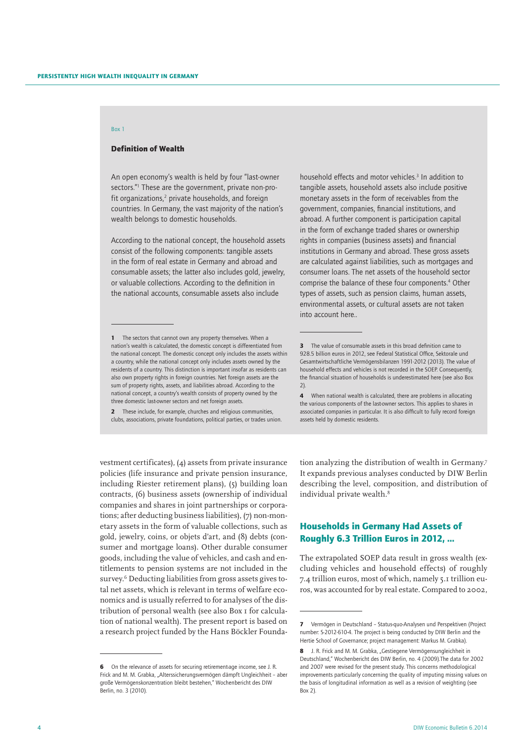## Box 1

## Definition of Wealth

An open economy's wealth is held by four "last-owner sectors."1 These are the government, private non-profit organizations, $2$  private households, and foreign countries. In Germany, the vast majority of the nation's wealth belongs to domestic households.

According to the national concept, the household assets consist of the following components: tangible assets in the form of real estate in Germany and abroad and consumable assets; the latter also includes gold, jewelry, or valuable collections. According to the definition in the national accounts, consumable assets also include

2 These include, for example, churches and religious communities, clubs, associations, private foundations, political parties, or trades union.

vestment certificates), (4) assets from private insurance policies (life insurance and private pension insurance, including Riester retirement plans), (5) building loan contracts, (6) business assets (ownership of individual companies and shares in joint partnerships or corporations; after deducting business liabilities), (7) non-monetary assets in the form of valuable collections, such as gold, jewelry, coins, or objets d'art, and (8) debts (consumer and mortgage loans). Other durable consumer goods, including the value of vehicles, and cash and entitlements to pension systems are not included in the survey.6 Deducting liabilities from gross assets gives total net assets, which is relevant in terms of welfare economics and is usually referred to for analyses of the distribution of personal wealth (see also Box 1 for calculation of national wealth). The present report is based on a research project funded by the Hans Böckler Founda-

household effects and motor vehicles.<sup>3</sup> In addition to tangible assets, household assets also include positive monetary assets in the form of receivables from the government, companies, financial institutions, and abroad. A further component is participation capital in the form of exchange traded shares or ownership rights in companies (business assets) and financial institutions in Germany and abroad. These gross assets are calculated against liabilities, such as mortgages and consumer loans. The net assets of the household sector comprise the balance of these four components.<sup>4</sup> Other types of assets, such as pension claims, human assets, environmental assets, or cultural assets are not taken into account here..

tion analyzing the distribution of wealth in Germany.<sup>7</sup> It expands previous analyses conducted by DIW Berlin describing the level, composition, and distribution of individual private wealth.<sup>8</sup>

# Households in Germany Had Assets of Roughly 6.3 Trillion Euros in 2012, …

The extrapolated SOEP data result in gross wealth (excluding vehicles and household effects) of roughly 7.4 trillion euros, most of which, namely 5.1 trillion euros, was accounted for by real estate. Compared to 2002,

<sup>1</sup> The sectors that cannot own any property themselves. When a nation's wealth is calculated, the domestic concept is differentiated from the national concept. The domestic concept only includes the assets within a country, while the national concept only includes assets owned by the residents of a country. This distinction is important insofar as residents can also own property rights in foreign countries. Net foreign assets are the sum of property rights, assets, and liabilities abroad. According to the national concept, a country's wealth consists of property owned by the three domestic last-owner sectors and net foreign assets.

<sup>6</sup> On the relevance of assets for securing retirement-age income, see J. R. Frick and M. M. Grabka, "Alterssicherungsvermögen dämpft Ungleichheit - aber große Vermögenskonzentration bleibt bestehen," Wochenbericht des DIW Berlin, no. 3 (2010).

<sup>3</sup> The value of consumable assets in this broad definition came to 928.5 billion euros in 2012, see Federal Statistical Office, Sektorale und Gesamtwirtschaftliche Vermögensbilanzen 1991-2012 (2013). The value of household effects and vehicles is not recorded in the SOEP. Consequently, the financial situation of households is underestimated here (see also Box 2).

<sup>4</sup> When national wealth is calculated, there are problems in allocating the various components of the last-owner sectors. This applies to shares in associated companies in particular. It is also difficult to fully record foreign assets held by domestic residents.

<sup>7</sup> Vermögen in Deutschland – Status-quo-Analysen und Perspektiven (Project number: S-2012-610-4. The project is being conducted by DIW Berlin and the Hertie School of Governance; project management: Markus M. Grabka).

<sup>8</sup> J. R. Frick and M. M. Grabka, "Gestiegene Vermögensungleichheit in Deutschland," Wochenbericht des DIW Berlin, no. 4 (2009).The data for 2002 and 2007 were revised for the present study. This concerns methodological improvements particularly concerning the quality of imputing missing values on the basis of longitudinal information as well as a revision of weighting (see Box 2).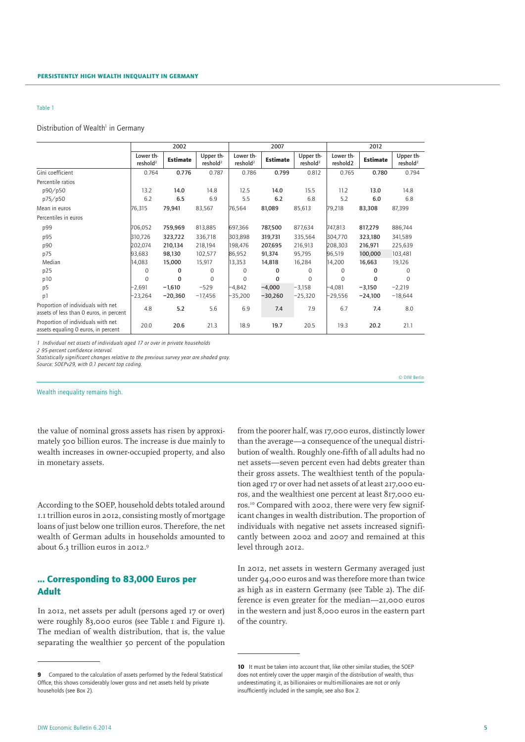## Distribution of Wealth<sup>1</sup> in Germany

|                                                                               |                                   | 2002            |                                   |                                   | 2007            |                                   | 2012                  |                 |                                   |  |
|-------------------------------------------------------------------------------|-----------------------------------|-----------------|-----------------------------------|-----------------------------------|-----------------|-----------------------------------|-----------------------|-----------------|-----------------------------------|--|
|                                                                               | Lower th-<br>reshold <sup>2</sup> | <b>Estimate</b> | Upper th-<br>reshold <sup>2</sup> | Lower th-<br>reshold <sup>2</sup> | <b>Estimate</b> | Upper th-<br>reshold <sup>2</sup> | Lower th-<br>reshold2 | <b>Estimate</b> | Upper th-<br>reshold <sup>2</sup> |  |
| Gini coefficient                                                              | 0.764                             | 0.776           | 0.787                             | 0.786                             | 0.799           | 0.812                             | 0.765                 | 0.780           | 0.794                             |  |
| Percentile ratios                                                             |                                   |                 |                                   |                                   |                 |                                   |                       |                 |                                   |  |
| p90/p50                                                                       | 13.2                              | 14.0            | 14.8                              | 12.5                              | 14.0            | 15.5                              | 11.2                  | 13.0            | 14.8                              |  |
| p75/p50                                                                       | 6.2                               | 6.5             | 6.9                               | 5.5                               | 6.2             | 6.8                               | 5.2                   | 6.0             | 6.8                               |  |
| Mean in euros                                                                 | 76,315                            | 79,941          | 83,567                            | 76,564                            | 81,089          | 85,613                            | 79,218                | 83,308          | 87,399                            |  |
| Percentiles in euros                                                          |                                   |                 |                                   |                                   |                 |                                   |                       |                 |                                   |  |
| p99                                                                           | 706,052                           | 759,969         | 813,885                           | 697,366                           | 787,500         | 877,634                           | 747,813               | 817,279         | 886,744                           |  |
| p95                                                                           | 310,726                           | 323,722         | 336,718                           | 303,898                           | 319,731         | 335,564                           | 304,770               | 323,180         | 341,589                           |  |
| p90                                                                           | 202,074                           | 210,134         | 218,194                           | 198,476                           | 207,695         | 216,913                           | 208,303               | 216,971         | 225,639                           |  |
| p75                                                                           | 93,683                            | 98,130          | 102,577                           | 86,952                            | 91,374          | 95,795                            | 96,519                | 100,000         | 103,481                           |  |
| Median                                                                        | 14,083                            | 15,000          | 15,917                            | 13,353                            | 14,818          | 16,284                            | 14,200                | 16,663          | 19,126                            |  |
| p25                                                                           | 0                                 | 0               | 0                                 | 0                                 | 0               | $\Omega$                          | $\Omega$              | $\Omega$        | $\Omega$                          |  |
| p10                                                                           | $\Omega$                          | $\Omega$        | $\Omega$                          | 0                                 | 0               | $\Omega$                          | $\Omega$              | 0               | 0                                 |  |
| p <sub>5</sub>                                                                | $-2,691$                          | $-1,610$        | $-529$                            | $-4,842$                          | $-4,000$        | $-3,158$                          | $-4,081$              | $-3,150$        | $-2,219$                          |  |
| p1                                                                            | $-23,264$                         | $-20,360$       | $-17,456$                         | $-35,200$                         | $-30,260$       | $-25,320$                         | $-29,556$             | $-24,100$       | $-18,644$                         |  |
| Proportion of individuals with net<br>assets of less than 0 euros, in percent | 4.8                               | 5.2             | 5.6                               | 6.9                               | 7.4             | 7.9                               | 6.7                   | 7.4             | 8.0                               |  |
| Proportion of individuals with net<br>assets equaling 0 euros, in percent     | 20.0                              | 20.6            | 21.3                              | 18.9                              | 19.7            | 20.5                              | 19.3                  | 20.2            | 21.1                              |  |

*1 Individual net assets of individuals aged 17 or over in private households*

*2 95-percent confidence interval.*

*Statistically significant changes relative to the previous survey year are shaded gray.*

*Source: SOEPv29, with 0.1 percent top coding.*

Wealth inequality remains high.

the value of nominal gross assets has risen by approximately 500 billion euros. The increase is due mainly to wealth increases in owner-occupied property, and also in monetary assets.

According to the SOEP, household debts totaled around 1.1 trillion euros in 2012, consisting mostly of mortgage loans of just below one trillion euros. Therefore, the net wealth of German adults in households amounted to about 6.3 trillion euros in 2012.9

# ... Corresponding to 83,000 Euros per Adult

In 2012, net assets per adult (persons aged 17 or over) were roughly 83,000 euros (see Table 1 and Figure 1). The median of wealth distribution, that is, the value separating the wealthier 50 percent of the population

from the poorer half, was 17,000 euros, distinctly lower than the average—a consequence of the unequal distribution of wealth. Roughly one-fifth of all adults had no net assets—seven percent even had debts greater than their gross assets. The wealthiest tenth of the population aged 17 or over had net assets of at least 217,000 euros, and the wealthiest one percent at least 817,000 euros.10 Compared with 2002, there were very few significant changes in wealth distribution. The proportion of individuals with negative net assets increased significantly between 2002 and 2007 and remained at this level through 2012.

© DIW Berlin

In 2012, net assets in western Germany averaged just under 94,000 euros and was therefore more than twice as high as in eastern Germany (see Table 2). The difference is even greater for the median—21,000 euros in the western and just 8,000 euros in the eastern part of the country.

<sup>9</sup> Compared to the calculation of assets performed by the Federal Statistical Office, this shows considerably lower gross and net assets held by private households (see Box 2).

<sup>10</sup> It must be taken into account that, like other similar studies, the SOEP does not entirely cover the upper margin of the distribution of wealth, thus underestimating it, as billionaires or multi-millionaires are not or only insufficiently included in the sample, see also Box 2.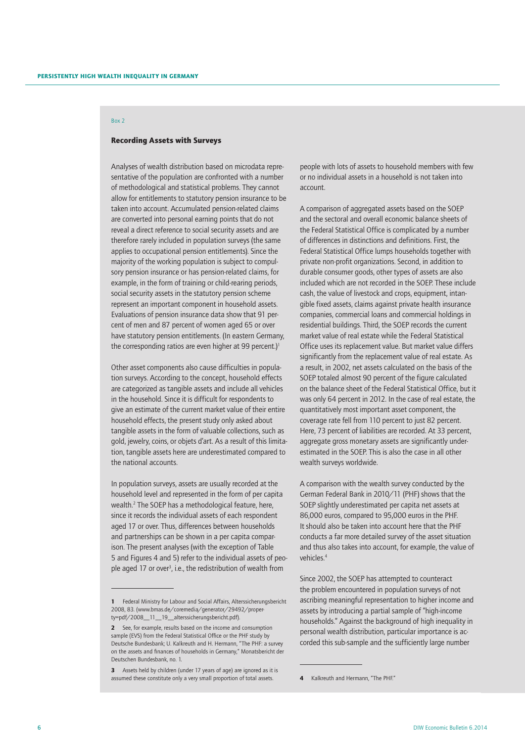# Box 2

## Recording Assets with Surveys

Analyses of wealth distribution based on microdata representative of the population are confronted with a number of methodological and statistical problems. They cannot allow for entitlements to statutory pension insurance to be taken into account. Accumulated pension-related claims are converted into personal earning points that do not reveal a direct reference to social security assets and are therefore rarely included in population surveys (the same applies to occupational pension entitlements). Since the majority of the working population is subject to compulsory pension insurance or has pension-related claims, for example, in the form of training or child-rearing periods, social security assets in the statutory pension scheme represent an important component in household assets. Evaluations of pension insurance data show that 91 percent of men and 87 percent of women aged 65 or over have statutory pension entitlements. (In eastern Germany, the corresponding ratios are even higher at 99 percent.)<sup>1</sup>

Other asset components also cause difficulties in population surveys. According to the concept, household effects are categorized as tangible assets and include all vehicles in the household. Since it is difficult for respondents to give an estimate of the current market value of their entire household effects, the present study only asked about tangible assets in the form of valuable collections, such as gold, jewelry, coins, or objets d'art. As a result of this limitation, tangible assets here are underestimated compared to the national accounts.

In population surveys, assets are usually recorded at the household level and represented in the form of per capita wealth.2 The SOEP has a methodological feature, here, since it records the individual assets of each respondent aged 17 or over. Thus, differences between households and partnerships can be shown in a per capita comparison. The present analyses (with the exception of Table 5 and Figures 4 and 5) refer to the individual assets of people aged 17 or over<sup>3</sup>, i.e., the redistribution of wealth from

3 Assets held by children (under 17 years of age) are ignored as it is assumed these constitute only a very small proportion of total assets.

people with lots of assets to household members with few or no individual assets in a household is not taken into account.

A comparison of aggregated assets based on the SOEP and the sectoral and overall economic balance sheets of the Federal Statistical Office is complicated by a number of differences in distinctions and definitions. First, the Federal Statistical Office lumps households together with private non-profit organizations. Second, in addition to durable consumer goods, other types of assets are also included which are not recorded in the SOEP. These include cash, the value of livestock and crops, equipment, intangible fixed assets, claims against private health insurance companies, commercial loans and commercial holdings in residential buildings. Third, the SOEP records the current market value of real estate while the Federal Statistical Office uses its replacement value. But market value differs significantly from the replacement value of real estate. As a result, in 2002, net assets calculated on the basis of the SOEP totaled almost 90 percent of the figure calculated on the balance sheet of the Federal Statistical Office, but it was only 64 percent in 2012. In the case of real estate, the quantitatively most important asset component, the coverage rate fell from 110 percent to just 82 percent. Here, 73 percent of liabilities are recorded. At 33 percent, aggregate gross monetary assets are significantly underestimated in the SOEP. This is also the case in all other wealth surveys worldwide.

A comparison with the wealth survey conducted by the German Federal Bank in 2010/11 (PHF) shows that the SOEP slightly underestimated per capita net assets at 86,000 euros, compared to 95,000 euros in the PHF. It should also be taken into account here that the PHF conducts a far more detailed survey of the asset situation and thus also takes into account, for example, the value of vehicles.4

Since 2002, the SOEP has attempted to counteract the problem encountered in population surveys of not ascribing meaningful representation to higher income and assets by introducing a partial sample of "high-income households." Against the background of high inequality in personal wealth distribution, particular importance is accorded this sub-sample and the sufficiently large number

<sup>1</sup> Federal Ministry for Labour and Social Affairs, Alterssicherungsbericht 2008, 83. (www.bmas.de/coremedia/generator/29492/property=pdf/2008\_\_11\_\_19\_\_alterssicherungsbericht.pdf).

<sup>2</sup> See, for example, results based on the income and consumption sample (EVS) from the Federal Statistical Office or the PHF study by Deutsche Bundesbank; U. Kalkreuth and H. Hermann, "The PHF: a survey on the assets and finances of households in Germany," Monatsbericht der Deutschen Bundesbank, no. 1.

<sup>4</sup> Kalkreuth and Hermann. "The PHE."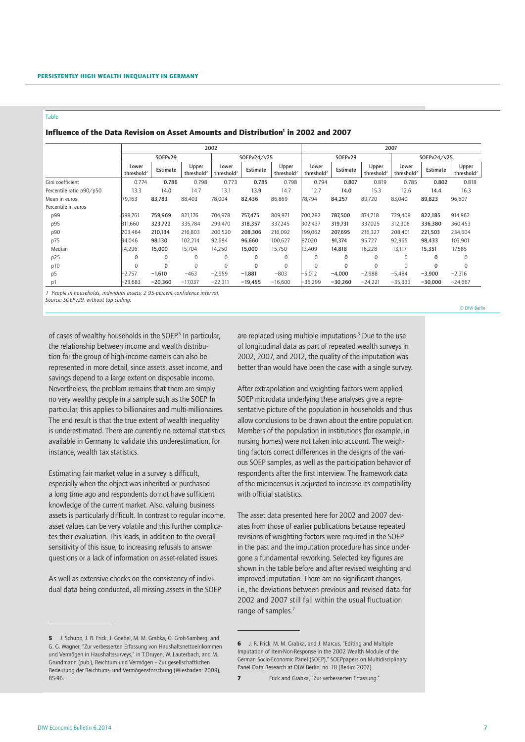# Influence of the Data Revision on Asset Amounts and Distribution<sup>1</sup> in 2002 and 2007

|                          | 2002                            |           |                                 |                                 |              |                                 |                                 | 2007      |                                 |                                 |           |                                 |  |  |  |
|--------------------------|---------------------------------|-----------|---------------------------------|---------------------------------|--------------|---------------------------------|---------------------------------|-----------|---------------------------------|---------------------------------|-----------|---------------------------------|--|--|--|
|                          |                                 | SOEPv29   |                                 |                                 | SOEPv24/v25  |                                 |                                 | SOEPv29   |                                 | SOEPv24/v25                     |           |                                 |  |  |  |
|                          | Lower<br>threshold <sup>2</sup> | Estimate  | Upper<br>threshold <sup>2</sup> | Lower<br>threshold <sup>2</sup> | Estimate     | Upper<br>threshold <sup>2</sup> | Lower<br>threshold <sup>2</sup> | Estimate  | Upper<br>threshold <sup>2</sup> | Lower<br>threshold <sup>2</sup> | Estimate  | Upper<br>threshold <sup>2</sup> |  |  |  |
| Gini coefficient         | 0.774                           | 0.786     | 0.798                           | 0.773                           | 0.785        | 0.798                           | 0.794                           | 0.807     | 0.819                           | 0.785                           | 0.802     | 0.818                           |  |  |  |
| Percentile ratio p90/p50 | 13.3                            | 14.0      | 14.7                            | 13.1                            | 13.9         | 14.7                            | 12.7                            | 14.0      | 15.3                            | 12.6                            | 14.4      | 16.3                            |  |  |  |
| Mean in euros            | 79,163                          | 83,783    | 88,403                          | 78,004                          | 82,436       | 86,869                          | 78,794                          | 84,257    | 89,720                          | 83,040                          | 89,823    | 96,607                          |  |  |  |
| Percentile in euros      |                                 |           |                                 |                                 |              |                                 |                                 |           |                                 |                                 |           |                                 |  |  |  |
| p99                      | 698,761                         | 759,969   | 821,176                         | 704,978                         | 757,475      | 809,971                         | 700,282                         | 787,500   | 874,718                         | 729,408                         | 822,185   | 914,962                         |  |  |  |
| p95                      | 311,660                         | 323,722   | 335,784                         | 299.470                         | 318,357      | 337,245                         | 302,437                         | 319,731   | 337,025                         | 312,306                         | 336,380   | 360,453                         |  |  |  |
| p90                      | 203,464                         | 210,134   | 216,803                         | 200,520                         | 208,306      | 216,092                         | 199,062                         | 207,695   | 216,327                         | 208,401                         | 221,503   | 234,604                         |  |  |  |
| p75                      | 94,046                          | 98,130    | 102,214                         | 92,694                          | 96,660       | 100,627                         | 87,020                          | 91,374    | 95,727                          | 92,965                          | 98,433    | 103,901                         |  |  |  |
| Median                   | 14,296                          | 15,000    | 15,704                          | 14,250                          | 15,000       | 15,750                          | 13,409                          | 14,818    | 16,228                          | 13,117                          | 15,351    | 17,585                          |  |  |  |
| p25                      | $\Omega$                        | $\Omega$  | $\Omega$                        | $\Omega$                        | 0            | $\Omega$                        | $\Omega$                        | 0         | $\Omega$                        | $\Omega$                        | $\Omega$  | $\Omega$                        |  |  |  |
| p10                      | $\mathbf 0$                     | 0         | 0                               | 0                               | $\mathbf{0}$ | $\mathbf 0$                     | $\mathbf 0$                     | 0         | $\mathbf 0$                     | $\mathbf 0$                     | $\Omega$  | 0                               |  |  |  |
| p <sub>5</sub>           | $-2,757$                        | $-1,610$  | $-463$                          | $-2,959$                        | $-1,881$     | $-803$                          | $-5,012$                        | $-4,000$  | $-2,988$                        | $-5,484$                        | $-3,900$  | $-2,316$                        |  |  |  |
| p1                       | $-23,683$                       | $-20,360$ | $-17,037$                       | $-22,311$                       | $-19,455$    | $-16,600$                       | $-36,299$                       | $-30,260$ | $-24,221$                       | $-35,333$                       | $-30.000$ | $-24,667$                       |  |  |  |

*1 People in households, individual assets; 2 95-percent confidence interval.*

*Source: SOEPv29, without top coding.*

of cases of wealthy households in the SOEP.<sup>5</sup> In particular, the relationship between income and wealth distribution for the group of high-income earners can also be represented in more detail, since assets, asset income, and savings depend to a large extent on disposable income. Nevertheless, the problem remains that there are simply no very wealthy people in a sample such as the SOEP. In particular, this applies to billionaires and multi-millionaires. The end result is that the true extent of wealth inequality is underestimated. There are currently no external statistics available in Germany to validate this underestimation, for instance, wealth tax statistics.

Estimating fair market value in a survey is difficult, especially when the object was inherited or purchased a long time ago and respondents do not have sufficient knowledge of the current market. Also, valuing business assets is particularly difficult. In contrast to regular income, asset values can be very volatile and this further complicates their evaluation. This leads, in addition to the overall sensitivity of this issue, to increasing refusals to answer questions or a lack of information on asset-related issues.

As well as extensive checks on the consistency of individual data being conducted, all missing assets in the SOEP

are replaced using multiple imputations.<sup>6</sup> Due to the use of longitudinal data as part of repeated wealth surveys in 2002, 2007, and 2012, the quality of the imputation was better than would have been the case with a single survey.

After extrapolation and weighting factors were applied, SOEP microdata underlying these analyses give a representative picture of the population in households and thus allow conclusions to be drawn about the entire population. Members of the population in institutions (for example, in nursing homes) were not taken into account. The weighting factors correct differences in the designs of the various SOEP samples, as well as the participation behavior of respondents after the first interview. The framework data of the microcensus is adjusted to increase its compatibility with official statistics.

The asset data presented here for 2002 and 2007 deviates from those of earlier publications because repeated revisions of weighting factors were required in the SOEP in the past and the imputation procedure has since undergone a fundamental reworking. Selected key figures are shown in the table before and after revised weighting and improved imputation. There are no significant changes, i.e., the deviations between previous and revised data for 2002 and 2007 still fall within the usual fluctuation range of samples.<sup>7</sup>

© DIW Berlin

<sup>5</sup> J. Schupp, J. R. Frick, J. Goebel, M. M. Grabka, O. Groh-Samberg, and G. G. Wagner, "Zur verbesserten Erfassung von Haushaltsnettoeinkommen und Vermögen in Haushaltssurveys," in T.Druyen, W. Lauterbach, and M. Grundmann (pub.), Reichtum und Vermögen – Zur gesellschaftlichen Bedeutung der Reichtums- und Vermögensforschung (Wiesbaden: 2009), 85-96.

<sup>6</sup> J. R. Frick, M. M. Grabka, and J. Marcus, "Editing and Multiple Imputation of Item-Non-Response in the 2002 Wealth Module of the German Socio-Economic Panel (SOEP)," SOEPpapers on Multidisciplinary Panel Data Research at DIW Berlin, no. 18 (Berlin: 2007).

<sup>7</sup> Frick and Grabka, "Zur verbesserten Erfassung."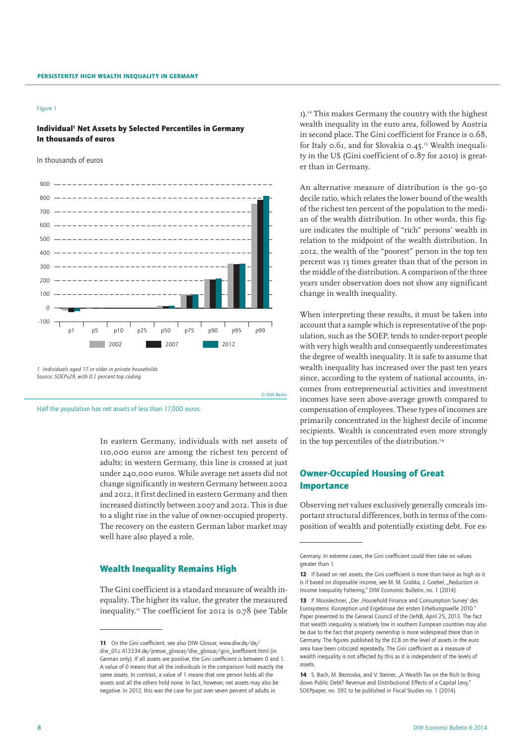#### Figure 1

# Individual<sup>1</sup> Net Assets by Selected Percentiles in Germany In thousands of euros

In thousands of euros



© DIW Berlin

Half the population has net assets of less than 17,000 euros.

In eastern Germany, individuals with net assets of 110,000 euros are among the richest ten percent of adults; in western Germany, this line is crossed at just under 240,000 euros. While average net assets did not change significantly in western Germany between 2002 and 2012, it first declined in eastern Germany and then increased distinctly between 2007 and 2012. This is due to a slight rise in the value of owner-occupied property. The recovery on the eastern German labor market may well have also played a role.

# Wealth Inequality Remains High

The Gini coefficient is a standard measure of wealth inequality. The higher its value, the greater the measured inequality.11 The coefficient for 2012 is 0.78 (see Table

1).12 This makes Germany the country with the highest wealth inequality in the euro area, followed by Austria in second place. The Gini coefficient for France is 0.68, for Italy  $0.61$ , and for Slovakia  $0.45$ .<sup>13</sup> Wealth inequality in the US (Gini coefficient of 0.87 for 2010) is greater than in Germany.

An alternative measure of distribution is the 90-50 decile ratio, which relates the lower bound of the wealth of the richest ten percent of the population to the median of the wealth distribution. In other words, this figure indicates the multiple of "rich" persons' wealth in relation to the midpoint of the wealth distribution. In 2012, the wealth of the "poorest" person in the top ten percent was 13 times greater than that of the person in the middle of the distribution. A comparison of the three years under observation does not show any significant change in wealth inequality.

When interpreting these results, it must be taken into account that a sample which is representative of the population, such as the SOEP, tends to under-report people with very high wealth and consequently underestimates the degree of wealth inequality. It is safe to assume that wealth inequality has increased over the past ten years since, according to the system of national accounts, incomes from entrepreneurial activities and investment incomes have seen above-average growth compared to compensation of employees. These types of incomes are primarily concentrated in the highest decile of income recipients. Wealth is concentrated even more strongly in the top percentiles of the distribution.<sup>14</sup>

# Owner-Occupied Housing of Great Importance

Observing net values exclusively generally conceals important structural differences, both in terms of the composition of wealth and potentially existing debt. For ex-

<sup>11</sup> On the Gini coefficient, see also DIW Glossar, www.diw.de/de/ diw\_01.c.413334.de/presse\_glossar/diw\_glossar/gini\_koeffizient.html (in German only). If all assets are positive, the Gini coefficient is between 0 and 1. A value of 0 means that all the individuals in the comparison hold exactly the same assets. In contrast, a value of 1 means that one person holds all the assets and all the others hold none. In fact, however, net assets may also be negative. In 2012, this was the case for just over seven percent of adults in

Germany. In extreme cases, the Gini coefficient could then take on values greater than 1.

<sup>12</sup> If based on net assets, the Gini coefficient is more than twice as high as it is if based on disposable income, see M. M. Grabka, J. Goebel, "Reduction in Income Inequality Faltering," DIW Economic Bulletin, no. 1 (2014).

<sup>13</sup> P. Mooslechner, "Der ,Household Finance and Consumption Survey' des Eurosystems: Konzeption und Ergebnisse der ersten Erhebungswelle 2010." Paper presented to the General Council of the OeNB, April 25, 2013. The fact that wealth inequality is relatively low in southern European countries may also be due to the fact that property ownership is more widespread there than in Germany. The figures published by the ECB on the level of assets in the euro area have been criticized repeatedly. The Gini coefficient as a measure of wealth inequality is not affected by this as it is independent of the levels of assets.

<sup>14</sup> S. Bach, M. Beznoska, and V. Steiner, "A Wealth Tax on the Rich to Bring down Public Debt? Revenue and Distributional Effects of a Capital Levy," SOEPpaper, no. 397, to be published in Fiscal Studies no. 1 (2014).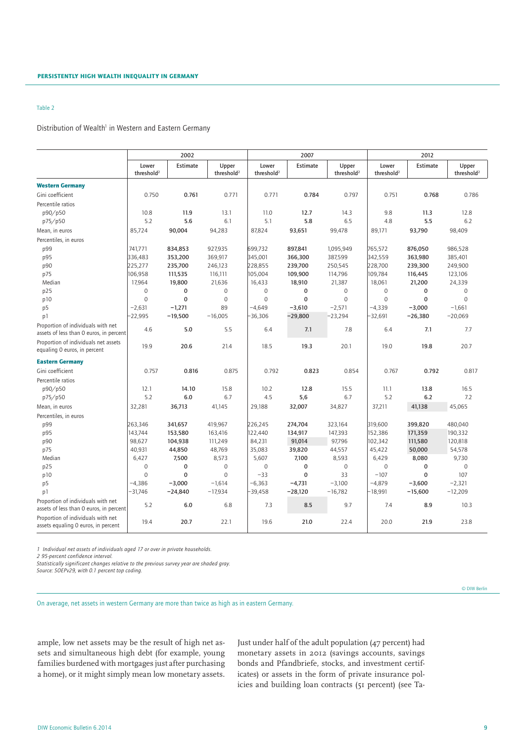## Distribution of Wealth<sup>1</sup> in Western and Eastern Germany

|                                                                               | 2002                            |              |                                 |                                 | 2007            |                                 |                                 | 2012         |                                 |  |  |
|-------------------------------------------------------------------------------|---------------------------------|--------------|---------------------------------|---------------------------------|-----------------|---------------------------------|---------------------------------|--------------|---------------------------------|--|--|
|                                                                               | Lower<br>threshold <sup>2</sup> | Estimate     | Upper<br>threshold <sup>2</sup> | Lower<br>threshold <sup>2</sup> | <b>Estimate</b> | Upper<br>threshold <sup>2</sup> | Lower<br>threshold <sup>2</sup> | Estimate     | Upper<br>threshold <sup>2</sup> |  |  |
| <b>Western Germany</b>                                                        |                                 |              |                                 |                                 |                 |                                 |                                 |              |                                 |  |  |
| Gini coefficient                                                              | 0.750                           | 0.761        | 0.771                           | 0.771                           | 0.784           | 0.797                           | 0.751                           | 0.768        | 0.786                           |  |  |
| Percentile ratios                                                             |                                 |              |                                 |                                 |                 |                                 |                                 |              |                                 |  |  |
| p90/p50                                                                       | 10.8                            | 11.9         | 13.1                            | 11.0                            | 12.7            | 14.3                            | 9.8                             | 11.3         | 12.8                            |  |  |
| p75/p50                                                                       | 5.2                             | 5.6          | 6.1                             | 5.1                             | 5.8             | 6.5                             | 4.8                             | 5.5          | 6.2                             |  |  |
| Mean, in euros                                                                | 85,724                          | 90,004       | 94,283                          | 87,824                          | 93,651          | 99.478                          | 89.171                          | 93,790       | 98,409                          |  |  |
| Percentiles, in euros                                                         |                                 |              |                                 |                                 |                 |                                 |                                 |              |                                 |  |  |
| p99                                                                           | 741,771                         | 834,853      | 927,935                         | 699,732                         | 897,841         | 1,095,949                       | 765,572                         | 876,050      | 986,528                         |  |  |
| p95                                                                           | 336,483                         | 353,200      | 369,917                         | 345,001                         | 366,300         | 387,599                         | 342,559                         | 363,980      | 385,401                         |  |  |
| p90                                                                           | 225,277                         | 235,700      | 246,123                         | 228,855                         | 239,700         | 250,545                         | 228,700                         | 239,300      | 249,900                         |  |  |
| p75                                                                           | 106,958                         | 111,535      | 116,111                         | 105,004                         | 109,900         | 114,796                         | 109,784                         | 116,445      | 123,106                         |  |  |
| Median                                                                        | 17,964                          | 19,800       | 21,636                          | 16,433                          | 18,910          | 21,387                          | 18,061                          | 21,200       | 24,339                          |  |  |
| p25                                                                           | $\mathbf 0$                     | $\mathbf 0$  | $\mathbf 0$                     | $\Omega$                        | $\mathbf 0$     | $\mathbf{0}$                    | $\Omega$                        | 0            | $\Omega$                        |  |  |
| p10                                                                           | $\mathbf 0$                     | $\mathbf 0$  | $\mathbf 0$                     | $\mathbf 0$                     | $\mathbf 0$     | $\mathbf 0$                     | $\Omega$                        | $\mathbf 0$  | $\Omega$                        |  |  |
| p <sub>5</sub>                                                                | $-2,631$                        | $-1,271$     | 89                              | $-4,649$                        | $-3,610$        | $-2,571$                        | $-4,339$                        | $-3,000$     | $-1,661$                        |  |  |
| p1                                                                            | $-22,995$                       | $-19,500$    | $-16.005$                       | $-36,306$                       | $-29,800$       | $-23,294$                       | $-32,691$                       | $-26,380$    | $-20,069$                       |  |  |
| Proportion of individuals with net<br>assets of less than 0 euros, in percent | 4.6                             | 5.0          | 5.5                             | 6.4                             | 7.1             | 7.8                             | 6.4                             | 7.1          | 7.7                             |  |  |
| Proportion of individuals net assets<br>equaling 0 euros, in percent          | 19.9                            | 20.6         | 21.4                            | 18.5                            | 19.3            | 20.1                            | 19.0                            | 19.8         | 20.7                            |  |  |
| <b>Eastern Germany</b>                                                        |                                 |              |                                 |                                 |                 |                                 |                                 |              |                                 |  |  |
| Gini coefficient                                                              | 0.757                           | 0.816        | 0.875                           | 0.792                           | 0.823           | 0.854                           | 0.767                           | 0.792        | 0.817                           |  |  |
| Percentile ratios                                                             |                                 |              |                                 |                                 |                 |                                 |                                 |              |                                 |  |  |
| p90/p50                                                                       | 12.1                            | 14.10        | 15.8                            | 10.2                            | 12.8            | 15.5                            | 11.1                            | 13.8         | 16.5                            |  |  |
| p75/p50                                                                       | 5.2                             | 6.0          | 6.7                             | 4.5                             | 5,6             | 6.7                             | 5.2                             | 6.2          | 7.2                             |  |  |
| Mean, in euros                                                                | 32,281                          | 36,713       | 41,145                          | 29,188                          | 32,007          | 34,827                          | 37,211                          | 41.138       | 45,065                          |  |  |
| Percentiles, in euros                                                         |                                 |              |                                 |                                 |                 |                                 |                                 |              |                                 |  |  |
| p99                                                                           | 263,346                         | 341,657      | 419,967                         | 226,245                         | 274,704         | 323,164                         | 319,600                         | 399,820      | 480,040                         |  |  |
| p95                                                                           | 143,744                         | 153,580      | 163,416                         | 122,440                         | 134,917         | 147,393                         | 152,386                         | 171,359      | 190,332                         |  |  |
| p90                                                                           | 98,627                          | 104,938      | 111,249                         | 84,231                          | 91,014          | 97,796                          | 102,342                         | 111,580      | 120,818                         |  |  |
| p75                                                                           | 40,931                          | 44,850       | 48,769                          | 35,083                          | 39,820          | 44,557                          | 45,422                          | 50,000       | 54,578                          |  |  |
| Median                                                                        | 6,427                           | 7,500        | 8,573                           | 5,607                           | 7,100           | 8,593                           | 6,429                           | 8,080        | 9,730                           |  |  |
| p25                                                                           | $\boldsymbol{0}$                | $\mathbf 0$  | $\mathbf 0$                     | $\mathbf{0}$                    | $\mathbf 0$     | $\mathbf 0$                     | $\mathbf 0$                     | $\mathbf 0$  | $\mathbf{0}$                    |  |  |
| p10                                                                           | $\Omega$                        | $\mathbf{0}$ | $\Omega$                        | $-33$                           | $\mathbf 0$     | 33                              | $-107$                          | $\mathbf{0}$ | 107                             |  |  |
| p <sub>5</sub>                                                                | $-4,386$                        | $-3,000$     | $-1,614$                        | $-6,363$                        | $-4,731$        | $-3,100$                        | $-4,879$                        | $-3,600$     | $-2,321$                        |  |  |
| p1                                                                            | $-31,746$                       | $-24,840$    | $-17,934$                       | $-39,458$                       | $-28,120$       | $-16,782$                       | -18,991                         | $-15,600$    | $-12,209$                       |  |  |
| Proportion of individuals with net<br>assets of less than 0 euros, in percent | 5.2                             | 6.0          | 6.8                             | 7.3                             | 8.5             | 9.7                             | 7.4                             | 8.9          | 10.3                            |  |  |
| Proportion of individuals with net<br>assets equaling 0 euros, in percent     | 19.4                            | 20.7         | 22.1                            | 19.6                            | 21.0            | 22.4                            | 20.0                            | 21.9         | 23.8                            |  |  |

*1 Individual net assets of individuals aged 17 or over in private households.*

*2 95-percent confidence interval.*

*Statistically significant changes relative to the previous survey year are shaded gray. Source: SOEPv29, with 0.1 percent top coding.*

On average, net assets in western Germany are more than twice as high as in eastern Germany.

© DIW Berlin

ample, low net assets may be the result of high net assets and simultaneous high debt (for example, young families burdened with mortgages just after purchasing a home), or it might simply mean low monetary assets. Just under half of the adult population (47 percent) had monetary assets in 2012 (savings accounts, savings bonds and Pfandbriefe, stocks, and investment certificates) or assets in the form of private insurance policies and building loan contracts (51 percent) (see Ta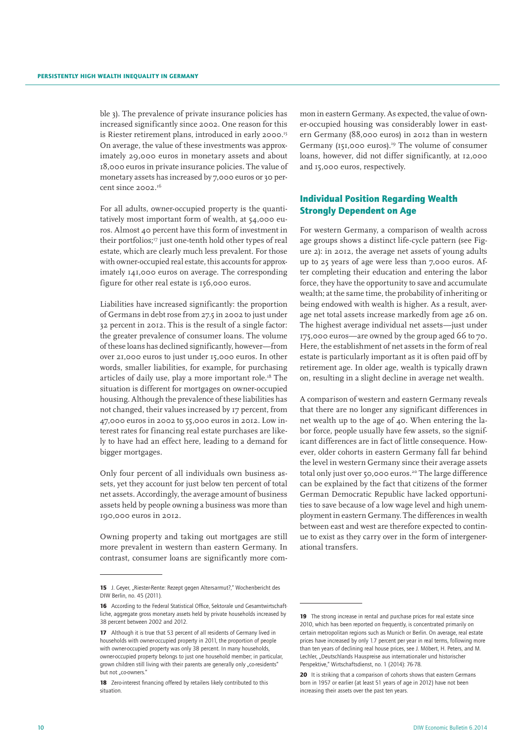ble 3). The prevalence of private insurance policies has increased significantly since 2002. One reason for this is Riester retirement plans, introduced in early 2000.<sup>15</sup> On average, the value of these investments was approximately 29,000 euros in monetary assets and about 18,000 euros in private insurance policies. The value of monetary assets has increased by 7,000 euros or 30 percent since 2002.<sup>16</sup>

For all adults, owner-occupied property is the quantitatively most important form of wealth, at 54,000 euros. Almost 40 percent have this form of investment in their portfolios;<sup>17</sup> just one-tenth hold other types of real estate, which are clearly much less prevalent. For those with owner-occupied real estate, this accounts for approximately 141,000 euros on average. The corresponding figure for other real estate is 156,000 euros.

Liabilities have increased significantly: the proportion of Germans in debt rose from 27.5 in 2002 to just under 32 percent in 2012. This is the result of a single factor: the greater prevalence of consumer loans. The volume of these loans has declined significantly, however—from over 21,000 euros to just under 15,000 euros. In other words, smaller liabilities, for example, for purchasing articles of daily use, play a more important role.<sup>18</sup> The situation is different for mortgages on owner-occupied housing. Although the prevalence of these liabilities has not changed, their values increased by 17 percent, from 47,000 euros in 2002 to 55,000 euros in 2012. Low interest rates for financing real estate purchases are likely to have had an effect here, leading to a demand for bigger mortgages.

Only four percent of all individuals own business assets, yet they account for just below ten percent of total net assets. Accordingly, the average amount of business assets held by people owning a business was more than 190,000 euros in 2012.

Owning property and taking out mortgages are still more prevalent in western than eastern Germany. In contrast, consumer loans are significantly more com-

mon in eastern Germany. As expected, the value of owner-occupied housing was considerably lower in eastern Germany (88,000 euros) in 2012 than in western Germany (151,000 euros).<sup>19</sup> The volume of consumer loans, however, did not differ significantly, at 12,000 and 15,000 euros, respectively.

# Individual Position Regarding Wealth Strongly Dependent on Age

For western Germany, a comparison of wealth across age groups shows a distinct life-cycle pattern (see Figure 2): in 2012, the average net assets of young adults up to 25 years of age were less than 7,000 euros. After completing their education and entering the labor force, they have the opportunity to save and accumulate wealth; at the same time, the probability of inheriting or being endowed with wealth is higher. As a result, average net total assets increase markedly from age 26 on. The highest average individual net assets—just under 175,000 euros—are owned by the group aged 66 to 70. Here, the establishment of net assets in the form of real estate is particularly important as it is often paid off by retirement age. In older age, wealth is typically drawn on, resulting in a slight decline in average net wealth.

A comparison of western and eastern Germany reveals that there are no longer any significant differences in net wealth up to the age of  $\Delta$ o. When entering the labor force, people usually have few assets, so the significant differences are in fact of little consequence. However, older cohorts in eastern Germany fall far behind the level in western Germany since their average assets total only just over 50,000 euros.20 The large difference can be explained by the fact that citizens of the former German Democratic Republic have lacked opportunities to save because of a low wage level and high unemployment in eastern Germany. The differences in wealth between east and west are therefore expected to continue to exist as they carry over in the form of intergenerational transfers.

<sup>15</sup> J. Geyer, "Riester-Rente: Rezept gegen Altersarmut?," Wochenbericht des DIW Berlin, no. 45 (2011).

<sup>16</sup> According to the Federal Statistical Office, Sektorale und Gesamtwirtschaftliche, aggregate gross monetary assets held by private households increased by 38 percent between 2002 and 2012.

<sup>17</sup> Although it is true that 53 percent of all residents of Germany lived in households with owner-occupied property in 2011, the proportion of people with owner-occupied property was only 38 percent. In many households owner-occupied property belongs to just one household member; in particular, grown children still living with their parents are generally only "co-residents" but not ..co-owners.'

<sup>18</sup> Zero-interest financing offered by retailers likely contributed to this situation.

<sup>19</sup> The strong increase in rental and purchase prices for real estate since 2010, which has been reported on frequently, is concentrated primarily on certain metropolitan regions such as Munich or Berlin. On average, real estate prices have increased by only 1.7 percent per year in real terms, following more than ten years of declining real house prices, see J. Möbert, H. Peters, and M. Lechler, "Deutschlands Hauspreise aus internationaler und historischer Perspektive," Wirtschaftsdienst, no. 1 (2014): 76-78.

<sup>20</sup> It is striking that a comparison of cohorts shows that eastern Germans born in 1957 or earlier (at least 51 years of age in 2012) have not been increasing their assets over the past ten years.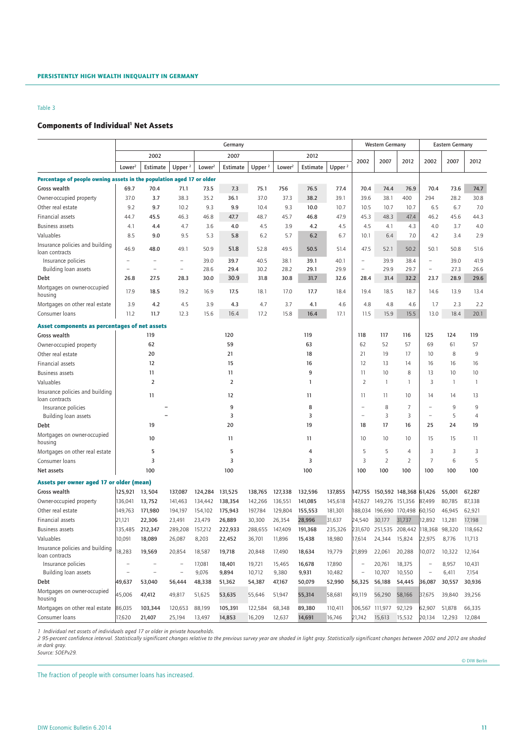# **Components of Individual<sup>1</sup> Net Assets**

| 2002<br>2007<br>2012<br>2002<br>2002<br>2007<br>2012<br>2007<br>2012<br>Lower <sup>2</sup><br>Estimate<br>Upper $2$<br>Lower <sup>2</sup><br>Estimate<br>Upper $2$<br>Lower <sup>2</sup><br>Estimate<br>Upper $2$<br>Percentage of people owning assets in the population aged 17 or older<br>70.4<br>756<br>70.4<br>74.4<br>73.6<br>74.7<br>69.7<br>71.1<br>73.5<br>7.3<br>75.1<br>76.5<br>77.4<br>76.9<br>70.4<br>Gross wealth<br>36.1<br>38.1<br>400<br>30.8<br>Owner-occupied property<br>37.0<br>3.7<br>38.3<br>35.2<br>37.0<br>37.3<br>38.2<br>39.1<br>39.6<br>294<br>28.2<br>Other real estate<br>9.2<br>9.7<br>10.2<br>9.3<br>9.9<br>10.4<br>9.3<br>10.0<br>10.7<br>10.5<br>10.7<br>10.7<br>6.7<br>7.0<br>6.5<br><b>Financial assets</b><br>45.3<br>48.3<br>44.7<br>45.5<br>46.3<br>46.8<br>47.7<br>48.7<br>45.7<br>46.8<br>47.9<br>47.4<br>46.2<br>45.6<br>44.3<br><b>Business assets</b><br>4.1<br>4.4<br>4.7<br>3.6<br>4.0<br>4.5<br>3.9<br>4.2<br>4.5<br>4.5<br>4.1<br>4.3<br>4.0<br>3.7<br>4.0<br>Valuables<br>2.9<br>8.5<br>9.0<br>9.5<br>5.3<br>5.8<br>6.2<br>5.7<br>6.2<br>6.7<br>10.1<br>6.4<br>7.0<br>4.2<br>3.4<br>Insurance policies and building<br>46.9<br>48.0<br>49.1<br>50.9<br>51.8<br>52.8<br>49.5<br>50.5<br>51.4<br>47.5<br>52.1<br>50.2<br>50.1<br>50.8<br>51.6<br>loan contracts<br>39.9<br>39.0<br>Insurance policies<br>39.0<br>39.7<br>40.5<br>38.1<br>39.1<br>40.1<br>38.4<br>$\qquad \qquad -$<br>41.9<br>$\overline{a}$<br>$\overline{\phantom{0}}$<br>$\overline{a}$<br>29.4<br>29.1<br>29.9<br>29.9<br>29.7<br>27.3<br>28.6<br>30.2<br>28.2<br>$\overline{a}$<br>$\overline{\phantom{a}}$<br>26.6<br>Building loan assets<br>$\overline{\phantom{a}}$<br>$\overline{\phantom{a}}$<br>$\overline{a}$<br>31.4<br>28.9<br>26.8<br>27.5<br>28.3<br>30.0<br>30.9<br>31.8<br>30.8<br>31.7<br>32.6<br>28.4<br>32.2<br>23.7<br>29.6<br>Debt<br>Mortgages on owner-occupied<br>17.9<br>18.5<br>19.2<br>16.9<br>17.5<br>18.1<br>17.0<br>17.7<br>18.4<br>19.4<br>18.5<br>18.7<br>14.6<br>13.9<br>13.4<br>housing<br>3.9<br>4.8<br>4.8<br>Mortgages on other real estate<br>4.2<br>4.5<br>3.9<br>4.3<br>4.7<br>3.7<br>4.1<br>4.6<br>4.6<br>1.7<br>2.3<br>2.2<br>11.2<br>17.2<br>15.8<br>11.5<br>15.9<br>13.0<br>18.4<br>11.7<br>12.3<br>15.6<br>16.4<br>16.4<br>17.1<br>15.5<br>20.1<br>Consumer loans<br>Asset components as percentages of net assets<br>Gross wealth<br>119<br>120<br>119<br>118<br>117<br>116<br>125<br>124<br>119<br>59<br>52<br>62<br>63<br>62<br>57<br>69<br>61<br>57<br>Owner-occupied property<br>19<br>8<br>Other real estate<br>20<br>21<br>18<br>21<br>17<br>10<br>9<br>12<br>15<br>12<br>13<br>Financial assets<br>16<br>14<br>16<br>16<br>16<br><b>Business assets</b><br>11<br>11<br>9<br>11<br>10<br>8<br>13<br>10<br>10<br>$\overline{2}$<br>Valuables<br>$\overline{2}$<br>2<br>1<br>3<br>1<br>-1<br>1<br>$\mathbf{1}$<br>Insurance policies and building<br>11<br>12<br>11<br>11<br>11<br>10<br>14<br>13<br>14<br>loan contracts<br>8<br>Insurance policies<br>9<br>8<br>7<br>9<br>9<br>$\overline{\phantom{0}}$<br>$\overline{\phantom{m}}$<br>3<br>3<br>3<br>5<br>3<br>Building loan assets<br>4<br>$\overline{a}$<br>$\overline{\phantom{a}}$<br>20<br>19<br>17<br>16<br>Debt<br>19<br>18<br>25<br>24<br>19<br>Mortgages on owner-occupied<br>10<br>11<br>11<br>10<br>10<br>15<br>15<br>11<br>10<br>housing<br>5<br>5<br>Mortgages on other real estate<br>5<br>5<br>3<br>3<br>3<br>$\overline{4}$<br>4<br>$\overline{2}$<br>3<br>3<br>3<br>$\overline{2}$<br>$\overline{7}$<br>6<br>5<br>Consumer loans<br>3<br>100<br>100<br>100<br>100<br>100<br>100<br>100<br>100<br>Net assets<br>100<br>Assets per owner aged 17 or older (mean)<br>Gross wealth<br>125,921<br>13,504<br>137,087<br>124,284<br>131,525<br>138.765<br>132,596<br>137,855<br>150,592 148,368 61,426<br>55,001<br>67,287<br>127,338<br>147,755<br>136,041<br>13,752<br>134,442<br>138,354<br>142,266<br>136,551<br>141,085<br>145,618<br>147,627<br>149,276 151,356<br>87,499<br>80,785<br>87,338<br>Owner-occupied property<br>141,463<br>196,690 170,498<br>46,945<br>62,921<br>Other real estate<br>149,763<br>171,980<br>194,197<br>154,102<br>175,943<br>197,784<br>129,804<br>155,553<br>181,301<br>188,034<br>60,150<br>21,121<br>22,306<br>23,491<br>23,479<br>26,889<br>30,300<br>26,354<br>28,996<br>31,637<br>24,540<br>30,177<br>31,737<br>12,892<br>13,281<br>17,198<br>Financial assets<br>135,485<br>157,212<br>222.933<br>288,655<br>191,368<br>235,326<br>231,670<br>251,535 208,442 118,368 98,320<br>118,662<br><b>Business assets</b><br>212,347<br>289,208<br>147.409<br>Valuables<br>10,091<br>18,089<br>36,701<br>15,824<br>22,975<br>11,713<br>26,087<br>8,203<br>22,452<br>11,896<br>15,438<br>18,980<br>17,614<br>24,344<br>8,776<br>Insurance policies and building<br>18,283<br>19,569<br>19,718<br>20,848<br>17,490<br>19,779<br>20,288<br>20,854<br>18,587<br>18,634<br>21,899<br>22,061<br>10,072<br>10,322<br>12,164<br>loan contracts<br>19,721<br>15,465<br>17,890<br>20,761<br>18,375<br>8,957<br>Insurance policies<br>17,081<br>18,401<br>16,678<br>10,431<br>-<br>$\overline{\phantom{a}}$<br>$\overline{\phantom{0}}$<br>$\overline{\phantom{0}}$<br>Building loan assets<br>9,076<br>9,894<br>10,712<br>9,380<br>10,482<br>10,707<br>10,550<br>6,411<br>9,931<br>7,154<br>-<br>-<br>$\qquad \qquad -$<br>30,936<br>Debt<br>49,637<br>53,040<br>56,444<br>48,338<br>51,362<br>54,387<br>47,167<br>50,079<br>52,990<br>56,325<br>56,188<br>54,445<br>36,087<br>30,557<br>Mortgages on owner-occupied<br>45,006<br>47,412<br>55,646<br>49,817<br>51,625<br>53,635<br>51,947<br>55,314<br>58,681<br>49,119<br>56,290<br>58,166<br>37,675<br>39,840<br>39,256<br>housing<br>Mortgages on other real estate<br>86,035<br>103,344<br>120,653<br>88,199<br>105,391<br>122,584<br>68,348<br>89,380<br>110,411<br>106,567 111,977<br>92,129<br>62,907<br>51,878<br>66,335<br>17,620<br>16,209<br>14,691<br>16,746<br>21,742<br>15,613<br>15,532<br>20,134<br>Consumer loans<br>21,407<br>25,194<br>13,497<br>14,853<br>12,637<br>12,293<br>12,084 |  | Germany |  |  |  |  |  |  |  | <b>Western Germany</b> |  |  | <b>Eastern Germany</b> |  |  |
|---------------------------------------------------------------------------------------------------------------------------------------------------------------------------------------------------------------------------------------------------------------------------------------------------------------------------------------------------------------------------------------------------------------------------------------------------------------------------------------------------------------------------------------------------------------------------------------------------------------------------------------------------------------------------------------------------------------------------------------------------------------------------------------------------------------------------------------------------------------------------------------------------------------------------------------------------------------------------------------------------------------------------------------------------------------------------------------------------------------------------------------------------------------------------------------------------------------------------------------------------------------------------------------------------------------------------------------------------------------------------------------------------------------------------------------------------------------------------------------------------------------------------------------------------------------------------------------------------------------------------------------------------------------------------------------------------------------------------------------------------------------------------------------------------------------------------------------------------------------------------------------------------------------------------------------------------------------------------------------------------------------------------------------------------------------------------------------------------------------------------------------------------------------------------------------------------------------------------------------------------------------------------------------------------------------------------------------------------------------------------------------------------------------------------------------------------------------------------------------------------------------------------------------------------------------------------------------------------------------------------------------------------------------------------------------------------------------------------------------------------------------------------------------------------------------------------------------------------------------------------------------------------------------------------------------------------------------------------------------------------------------------------------------------------------------------------------------------------------------------------------------------------------------------------------------------------------------------------------------------------------------------------------------------------------------------------------------------------------------------------------------------------------------------------------------------------------------------------------------------------------------------------------------------------------------------------------------------------------------------------------------------------------------------------------------------------------------------------------------------------------------------------------------------------------------------------------------------------------------------------------------------------------------------------------------------------------------------------------------------------------------------------------------------------------------------------------------------------------------------------------------------------------------------------------------------------------------------------------------------------------------------------------------------------------------------------------------------------------------------------------------------------------------------------------------------------------------------------------------------------------------------------------------------------------------------------------------------------------------------------------------------------------------------------------------------------------------------------------------------------------------------------------------------------------------------------------------------------------------------------------------------------------------------------------------------------------------------------------------------------------------------------------------------------------------------------------------------------------------------------------------------------------------------------------------------------------------------------------------------------------------------------------------------------------------------------------------------------------------------------------------------------------------------------------------------------------------------------------------------------------------------------------------------------------------------------------------------------------------------------------------------------------------------------------------------------------------------------------------------------------------------------------------------------------------------------------------------------------------------------------------------------------------------------------------------------------------------------------------------------------------------------------------------------------------------------------------------------------------------|--|---------|--|--|--|--|--|--|--|------------------------|--|--|------------------------|--|--|
|                                                                                                                                                                                                                                                                                                                                                                                                                                                                                                                                                                                                                                                                                                                                                                                                                                                                                                                                                                                                                                                                                                                                                                                                                                                                                                                                                                                                                                                                                                                                                                                                                                                                                                                                                                                                                                                                                                                                                                                                                                                                                                                                                                                                                                                                                                                                                                                                                                                                                                                                                                                                                                                                                                                                                                                                                                                                                                                                                                                                                                                                                                                                                                                                                                                                                                                                                                                                                                                                                                                                                                                                                                                                                                                                                                                                                                                                                                                                                                                                                                                                                                                                                                                                                                                                                                                                                                                                                                                                                                                                                                                                                                                                                                                                                                                                                                                                                                                                                                                                                                                                                                                                                                                                                                                                                                                                                                                                                                                                                                                                                                                                                                                                                                                                                                                                                                                                                                                                                                                                                                                                                                                     |  |         |  |  |  |  |  |  |  |                        |  |  |                        |  |  |
|                                                                                                                                                                                                                                                                                                                                                                                                                                                                                                                                                                                                                                                                                                                                                                                                                                                                                                                                                                                                                                                                                                                                                                                                                                                                                                                                                                                                                                                                                                                                                                                                                                                                                                                                                                                                                                                                                                                                                                                                                                                                                                                                                                                                                                                                                                                                                                                                                                                                                                                                                                                                                                                                                                                                                                                                                                                                                                                                                                                                                                                                                                                                                                                                                                                                                                                                                                                                                                                                                                                                                                                                                                                                                                                                                                                                                                                                                                                                                                                                                                                                                                                                                                                                                                                                                                                                                                                                                                                                                                                                                                                                                                                                                                                                                                                                                                                                                                                                                                                                                                                                                                                                                                                                                                                                                                                                                                                                                                                                                                                                                                                                                                                                                                                                                                                                                                                                                                                                                                                                                                                                                                                     |  |         |  |  |  |  |  |  |  |                        |  |  |                        |  |  |
|                                                                                                                                                                                                                                                                                                                                                                                                                                                                                                                                                                                                                                                                                                                                                                                                                                                                                                                                                                                                                                                                                                                                                                                                                                                                                                                                                                                                                                                                                                                                                                                                                                                                                                                                                                                                                                                                                                                                                                                                                                                                                                                                                                                                                                                                                                                                                                                                                                                                                                                                                                                                                                                                                                                                                                                                                                                                                                                                                                                                                                                                                                                                                                                                                                                                                                                                                                                                                                                                                                                                                                                                                                                                                                                                                                                                                                                                                                                                                                                                                                                                                                                                                                                                                                                                                                                                                                                                                                                                                                                                                                                                                                                                                                                                                                                                                                                                                                                                                                                                                                                                                                                                                                                                                                                                                                                                                                                                                                                                                                                                                                                                                                                                                                                                                                                                                                                                                                                                                                                                                                                                                                                     |  |         |  |  |  |  |  |  |  |                        |  |  |                        |  |  |
|                                                                                                                                                                                                                                                                                                                                                                                                                                                                                                                                                                                                                                                                                                                                                                                                                                                                                                                                                                                                                                                                                                                                                                                                                                                                                                                                                                                                                                                                                                                                                                                                                                                                                                                                                                                                                                                                                                                                                                                                                                                                                                                                                                                                                                                                                                                                                                                                                                                                                                                                                                                                                                                                                                                                                                                                                                                                                                                                                                                                                                                                                                                                                                                                                                                                                                                                                                                                                                                                                                                                                                                                                                                                                                                                                                                                                                                                                                                                                                                                                                                                                                                                                                                                                                                                                                                                                                                                                                                                                                                                                                                                                                                                                                                                                                                                                                                                                                                                                                                                                                                                                                                                                                                                                                                                                                                                                                                                                                                                                                                                                                                                                                                                                                                                                                                                                                                                                                                                                                                                                                                                                                                     |  |         |  |  |  |  |  |  |  |                        |  |  |                        |  |  |
|                                                                                                                                                                                                                                                                                                                                                                                                                                                                                                                                                                                                                                                                                                                                                                                                                                                                                                                                                                                                                                                                                                                                                                                                                                                                                                                                                                                                                                                                                                                                                                                                                                                                                                                                                                                                                                                                                                                                                                                                                                                                                                                                                                                                                                                                                                                                                                                                                                                                                                                                                                                                                                                                                                                                                                                                                                                                                                                                                                                                                                                                                                                                                                                                                                                                                                                                                                                                                                                                                                                                                                                                                                                                                                                                                                                                                                                                                                                                                                                                                                                                                                                                                                                                                                                                                                                                                                                                                                                                                                                                                                                                                                                                                                                                                                                                                                                                                                                                                                                                                                                                                                                                                                                                                                                                                                                                                                                                                                                                                                                                                                                                                                                                                                                                                                                                                                                                                                                                                                                                                                                                                                                     |  |         |  |  |  |  |  |  |  |                        |  |  |                        |  |  |
|                                                                                                                                                                                                                                                                                                                                                                                                                                                                                                                                                                                                                                                                                                                                                                                                                                                                                                                                                                                                                                                                                                                                                                                                                                                                                                                                                                                                                                                                                                                                                                                                                                                                                                                                                                                                                                                                                                                                                                                                                                                                                                                                                                                                                                                                                                                                                                                                                                                                                                                                                                                                                                                                                                                                                                                                                                                                                                                                                                                                                                                                                                                                                                                                                                                                                                                                                                                                                                                                                                                                                                                                                                                                                                                                                                                                                                                                                                                                                                                                                                                                                                                                                                                                                                                                                                                                                                                                                                                                                                                                                                                                                                                                                                                                                                                                                                                                                                                                                                                                                                                                                                                                                                                                                                                                                                                                                                                                                                                                                                                                                                                                                                                                                                                                                                                                                                                                                                                                                                                                                                                                                                                     |  |         |  |  |  |  |  |  |  |                        |  |  |                        |  |  |
|                                                                                                                                                                                                                                                                                                                                                                                                                                                                                                                                                                                                                                                                                                                                                                                                                                                                                                                                                                                                                                                                                                                                                                                                                                                                                                                                                                                                                                                                                                                                                                                                                                                                                                                                                                                                                                                                                                                                                                                                                                                                                                                                                                                                                                                                                                                                                                                                                                                                                                                                                                                                                                                                                                                                                                                                                                                                                                                                                                                                                                                                                                                                                                                                                                                                                                                                                                                                                                                                                                                                                                                                                                                                                                                                                                                                                                                                                                                                                                                                                                                                                                                                                                                                                                                                                                                                                                                                                                                                                                                                                                                                                                                                                                                                                                                                                                                                                                                                                                                                                                                                                                                                                                                                                                                                                                                                                                                                                                                                                                                                                                                                                                                                                                                                                                                                                                                                                                                                                                                                                                                                                                                     |  |         |  |  |  |  |  |  |  |                        |  |  |                        |  |  |
|                                                                                                                                                                                                                                                                                                                                                                                                                                                                                                                                                                                                                                                                                                                                                                                                                                                                                                                                                                                                                                                                                                                                                                                                                                                                                                                                                                                                                                                                                                                                                                                                                                                                                                                                                                                                                                                                                                                                                                                                                                                                                                                                                                                                                                                                                                                                                                                                                                                                                                                                                                                                                                                                                                                                                                                                                                                                                                                                                                                                                                                                                                                                                                                                                                                                                                                                                                                                                                                                                                                                                                                                                                                                                                                                                                                                                                                                                                                                                                                                                                                                                                                                                                                                                                                                                                                                                                                                                                                                                                                                                                                                                                                                                                                                                                                                                                                                                                                                                                                                                                                                                                                                                                                                                                                                                                                                                                                                                                                                                                                                                                                                                                                                                                                                                                                                                                                                                                                                                                                                                                                                                                                     |  |         |  |  |  |  |  |  |  |                        |  |  |                        |  |  |
|                                                                                                                                                                                                                                                                                                                                                                                                                                                                                                                                                                                                                                                                                                                                                                                                                                                                                                                                                                                                                                                                                                                                                                                                                                                                                                                                                                                                                                                                                                                                                                                                                                                                                                                                                                                                                                                                                                                                                                                                                                                                                                                                                                                                                                                                                                                                                                                                                                                                                                                                                                                                                                                                                                                                                                                                                                                                                                                                                                                                                                                                                                                                                                                                                                                                                                                                                                                                                                                                                                                                                                                                                                                                                                                                                                                                                                                                                                                                                                                                                                                                                                                                                                                                                                                                                                                                                                                                                                                                                                                                                                                                                                                                                                                                                                                                                                                                                                                                                                                                                                                                                                                                                                                                                                                                                                                                                                                                                                                                                                                                                                                                                                                                                                                                                                                                                                                                                                                                                                                                                                                                                                                     |  |         |  |  |  |  |  |  |  |                        |  |  |                        |  |  |
|                                                                                                                                                                                                                                                                                                                                                                                                                                                                                                                                                                                                                                                                                                                                                                                                                                                                                                                                                                                                                                                                                                                                                                                                                                                                                                                                                                                                                                                                                                                                                                                                                                                                                                                                                                                                                                                                                                                                                                                                                                                                                                                                                                                                                                                                                                                                                                                                                                                                                                                                                                                                                                                                                                                                                                                                                                                                                                                                                                                                                                                                                                                                                                                                                                                                                                                                                                                                                                                                                                                                                                                                                                                                                                                                                                                                                                                                                                                                                                                                                                                                                                                                                                                                                                                                                                                                                                                                                                                                                                                                                                                                                                                                                                                                                                                                                                                                                                                                                                                                                                                                                                                                                                                                                                                                                                                                                                                                                                                                                                                                                                                                                                                                                                                                                                                                                                                                                                                                                                                                                                                                                                                     |  |         |  |  |  |  |  |  |  |                        |  |  |                        |  |  |
|                                                                                                                                                                                                                                                                                                                                                                                                                                                                                                                                                                                                                                                                                                                                                                                                                                                                                                                                                                                                                                                                                                                                                                                                                                                                                                                                                                                                                                                                                                                                                                                                                                                                                                                                                                                                                                                                                                                                                                                                                                                                                                                                                                                                                                                                                                                                                                                                                                                                                                                                                                                                                                                                                                                                                                                                                                                                                                                                                                                                                                                                                                                                                                                                                                                                                                                                                                                                                                                                                                                                                                                                                                                                                                                                                                                                                                                                                                                                                                                                                                                                                                                                                                                                                                                                                                                                                                                                                                                                                                                                                                                                                                                                                                                                                                                                                                                                                                                                                                                                                                                                                                                                                                                                                                                                                                                                                                                                                                                                                                                                                                                                                                                                                                                                                                                                                                                                                                                                                                                                                                                                                                                     |  |         |  |  |  |  |  |  |  |                        |  |  |                        |  |  |
|                                                                                                                                                                                                                                                                                                                                                                                                                                                                                                                                                                                                                                                                                                                                                                                                                                                                                                                                                                                                                                                                                                                                                                                                                                                                                                                                                                                                                                                                                                                                                                                                                                                                                                                                                                                                                                                                                                                                                                                                                                                                                                                                                                                                                                                                                                                                                                                                                                                                                                                                                                                                                                                                                                                                                                                                                                                                                                                                                                                                                                                                                                                                                                                                                                                                                                                                                                                                                                                                                                                                                                                                                                                                                                                                                                                                                                                                                                                                                                                                                                                                                                                                                                                                                                                                                                                                                                                                                                                                                                                                                                                                                                                                                                                                                                                                                                                                                                                                                                                                                                                                                                                                                                                                                                                                                                                                                                                                                                                                                                                                                                                                                                                                                                                                                                                                                                                                                                                                                                                                                                                                                                                     |  |         |  |  |  |  |  |  |  |                        |  |  |                        |  |  |
|                                                                                                                                                                                                                                                                                                                                                                                                                                                                                                                                                                                                                                                                                                                                                                                                                                                                                                                                                                                                                                                                                                                                                                                                                                                                                                                                                                                                                                                                                                                                                                                                                                                                                                                                                                                                                                                                                                                                                                                                                                                                                                                                                                                                                                                                                                                                                                                                                                                                                                                                                                                                                                                                                                                                                                                                                                                                                                                                                                                                                                                                                                                                                                                                                                                                                                                                                                                                                                                                                                                                                                                                                                                                                                                                                                                                                                                                                                                                                                                                                                                                                                                                                                                                                                                                                                                                                                                                                                                                                                                                                                                                                                                                                                                                                                                                                                                                                                                                                                                                                                                                                                                                                                                                                                                                                                                                                                                                                                                                                                                                                                                                                                                                                                                                                                                                                                                                                                                                                                                                                                                                                                                     |  |         |  |  |  |  |  |  |  |                        |  |  |                        |  |  |
|                                                                                                                                                                                                                                                                                                                                                                                                                                                                                                                                                                                                                                                                                                                                                                                                                                                                                                                                                                                                                                                                                                                                                                                                                                                                                                                                                                                                                                                                                                                                                                                                                                                                                                                                                                                                                                                                                                                                                                                                                                                                                                                                                                                                                                                                                                                                                                                                                                                                                                                                                                                                                                                                                                                                                                                                                                                                                                                                                                                                                                                                                                                                                                                                                                                                                                                                                                                                                                                                                                                                                                                                                                                                                                                                                                                                                                                                                                                                                                                                                                                                                                                                                                                                                                                                                                                                                                                                                                                                                                                                                                                                                                                                                                                                                                                                                                                                                                                                                                                                                                                                                                                                                                                                                                                                                                                                                                                                                                                                                                                                                                                                                                                                                                                                                                                                                                                                                                                                                                                                                                                                                                                     |  |         |  |  |  |  |  |  |  |                        |  |  |                        |  |  |
|                                                                                                                                                                                                                                                                                                                                                                                                                                                                                                                                                                                                                                                                                                                                                                                                                                                                                                                                                                                                                                                                                                                                                                                                                                                                                                                                                                                                                                                                                                                                                                                                                                                                                                                                                                                                                                                                                                                                                                                                                                                                                                                                                                                                                                                                                                                                                                                                                                                                                                                                                                                                                                                                                                                                                                                                                                                                                                                                                                                                                                                                                                                                                                                                                                                                                                                                                                                                                                                                                                                                                                                                                                                                                                                                                                                                                                                                                                                                                                                                                                                                                                                                                                                                                                                                                                                                                                                                                                                                                                                                                                                                                                                                                                                                                                                                                                                                                                                                                                                                                                                                                                                                                                                                                                                                                                                                                                                                                                                                                                                                                                                                                                                                                                                                                                                                                                                                                                                                                                                                                                                                                                                     |  |         |  |  |  |  |  |  |  |                        |  |  |                        |  |  |
|                                                                                                                                                                                                                                                                                                                                                                                                                                                                                                                                                                                                                                                                                                                                                                                                                                                                                                                                                                                                                                                                                                                                                                                                                                                                                                                                                                                                                                                                                                                                                                                                                                                                                                                                                                                                                                                                                                                                                                                                                                                                                                                                                                                                                                                                                                                                                                                                                                                                                                                                                                                                                                                                                                                                                                                                                                                                                                                                                                                                                                                                                                                                                                                                                                                                                                                                                                                                                                                                                                                                                                                                                                                                                                                                                                                                                                                                                                                                                                                                                                                                                                                                                                                                                                                                                                                                                                                                                                                                                                                                                                                                                                                                                                                                                                                                                                                                                                                                                                                                                                                                                                                                                                                                                                                                                                                                                                                                                                                                                                                                                                                                                                                                                                                                                                                                                                                                                                                                                                                                                                                                                                                     |  |         |  |  |  |  |  |  |  |                        |  |  |                        |  |  |
|                                                                                                                                                                                                                                                                                                                                                                                                                                                                                                                                                                                                                                                                                                                                                                                                                                                                                                                                                                                                                                                                                                                                                                                                                                                                                                                                                                                                                                                                                                                                                                                                                                                                                                                                                                                                                                                                                                                                                                                                                                                                                                                                                                                                                                                                                                                                                                                                                                                                                                                                                                                                                                                                                                                                                                                                                                                                                                                                                                                                                                                                                                                                                                                                                                                                                                                                                                                                                                                                                                                                                                                                                                                                                                                                                                                                                                                                                                                                                                                                                                                                                                                                                                                                                                                                                                                                                                                                                                                                                                                                                                                                                                                                                                                                                                                                                                                                                                                                                                                                                                                                                                                                                                                                                                                                                                                                                                                                                                                                                                                                                                                                                                                                                                                                                                                                                                                                                                                                                                                                                                                                                                                     |  |         |  |  |  |  |  |  |  |                        |  |  |                        |  |  |
|                                                                                                                                                                                                                                                                                                                                                                                                                                                                                                                                                                                                                                                                                                                                                                                                                                                                                                                                                                                                                                                                                                                                                                                                                                                                                                                                                                                                                                                                                                                                                                                                                                                                                                                                                                                                                                                                                                                                                                                                                                                                                                                                                                                                                                                                                                                                                                                                                                                                                                                                                                                                                                                                                                                                                                                                                                                                                                                                                                                                                                                                                                                                                                                                                                                                                                                                                                                                                                                                                                                                                                                                                                                                                                                                                                                                                                                                                                                                                                                                                                                                                                                                                                                                                                                                                                                                                                                                                                                                                                                                                                                                                                                                                                                                                                                                                                                                                                                                                                                                                                                                                                                                                                                                                                                                                                                                                                                                                                                                                                                                                                                                                                                                                                                                                                                                                                                                                                                                                                                                                                                                                                                     |  |         |  |  |  |  |  |  |  |                        |  |  |                        |  |  |
|                                                                                                                                                                                                                                                                                                                                                                                                                                                                                                                                                                                                                                                                                                                                                                                                                                                                                                                                                                                                                                                                                                                                                                                                                                                                                                                                                                                                                                                                                                                                                                                                                                                                                                                                                                                                                                                                                                                                                                                                                                                                                                                                                                                                                                                                                                                                                                                                                                                                                                                                                                                                                                                                                                                                                                                                                                                                                                                                                                                                                                                                                                                                                                                                                                                                                                                                                                                                                                                                                                                                                                                                                                                                                                                                                                                                                                                                                                                                                                                                                                                                                                                                                                                                                                                                                                                                                                                                                                                                                                                                                                                                                                                                                                                                                                                                                                                                                                                                                                                                                                                                                                                                                                                                                                                                                                                                                                                                                                                                                                                                                                                                                                                                                                                                                                                                                                                                                                                                                                                                                                                                                                                     |  |         |  |  |  |  |  |  |  |                        |  |  |                        |  |  |
|                                                                                                                                                                                                                                                                                                                                                                                                                                                                                                                                                                                                                                                                                                                                                                                                                                                                                                                                                                                                                                                                                                                                                                                                                                                                                                                                                                                                                                                                                                                                                                                                                                                                                                                                                                                                                                                                                                                                                                                                                                                                                                                                                                                                                                                                                                                                                                                                                                                                                                                                                                                                                                                                                                                                                                                                                                                                                                                                                                                                                                                                                                                                                                                                                                                                                                                                                                                                                                                                                                                                                                                                                                                                                                                                                                                                                                                                                                                                                                                                                                                                                                                                                                                                                                                                                                                                                                                                                                                                                                                                                                                                                                                                                                                                                                                                                                                                                                                                                                                                                                                                                                                                                                                                                                                                                                                                                                                                                                                                                                                                                                                                                                                                                                                                                                                                                                                                                                                                                                                                                                                                                                                     |  |         |  |  |  |  |  |  |  |                        |  |  |                        |  |  |
|                                                                                                                                                                                                                                                                                                                                                                                                                                                                                                                                                                                                                                                                                                                                                                                                                                                                                                                                                                                                                                                                                                                                                                                                                                                                                                                                                                                                                                                                                                                                                                                                                                                                                                                                                                                                                                                                                                                                                                                                                                                                                                                                                                                                                                                                                                                                                                                                                                                                                                                                                                                                                                                                                                                                                                                                                                                                                                                                                                                                                                                                                                                                                                                                                                                                                                                                                                                                                                                                                                                                                                                                                                                                                                                                                                                                                                                                                                                                                                                                                                                                                                                                                                                                                                                                                                                                                                                                                                                                                                                                                                                                                                                                                                                                                                                                                                                                                                                                                                                                                                                                                                                                                                                                                                                                                                                                                                                                                                                                                                                                                                                                                                                                                                                                                                                                                                                                                                                                                                                                                                                                                                                     |  |         |  |  |  |  |  |  |  |                        |  |  |                        |  |  |
|                                                                                                                                                                                                                                                                                                                                                                                                                                                                                                                                                                                                                                                                                                                                                                                                                                                                                                                                                                                                                                                                                                                                                                                                                                                                                                                                                                                                                                                                                                                                                                                                                                                                                                                                                                                                                                                                                                                                                                                                                                                                                                                                                                                                                                                                                                                                                                                                                                                                                                                                                                                                                                                                                                                                                                                                                                                                                                                                                                                                                                                                                                                                                                                                                                                                                                                                                                                                                                                                                                                                                                                                                                                                                                                                                                                                                                                                                                                                                                                                                                                                                                                                                                                                                                                                                                                                                                                                                                                                                                                                                                                                                                                                                                                                                                                                                                                                                                                                                                                                                                                                                                                                                                                                                                                                                                                                                                                                                                                                                                                                                                                                                                                                                                                                                                                                                                                                                                                                                                                                                                                                                                                     |  |         |  |  |  |  |  |  |  |                        |  |  |                        |  |  |
|                                                                                                                                                                                                                                                                                                                                                                                                                                                                                                                                                                                                                                                                                                                                                                                                                                                                                                                                                                                                                                                                                                                                                                                                                                                                                                                                                                                                                                                                                                                                                                                                                                                                                                                                                                                                                                                                                                                                                                                                                                                                                                                                                                                                                                                                                                                                                                                                                                                                                                                                                                                                                                                                                                                                                                                                                                                                                                                                                                                                                                                                                                                                                                                                                                                                                                                                                                                                                                                                                                                                                                                                                                                                                                                                                                                                                                                                                                                                                                                                                                                                                                                                                                                                                                                                                                                                                                                                                                                                                                                                                                                                                                                                                                                                                                                                                                                                                                                                                                                                                                                                                                                                                                                                                                                                                                                                                                                                                                                                                                                                                                                                                                                                                                                                                                                                                                                                                                                                                                                                                                                                                                                     |  |         |  |  |  |  |  |  |  |                        |  |  |                        |  |  |
|                                                                                                                                                                                                                                                                                                                                                                                                                                                                                                                                                                                                                                                                                                                                                                                                                                                                                                                                                                                                                                                                                                                                                                                                                                                                                                                                                                                                                                                                                                                                                                                                                                                                                                                                                                                                                                                                                                                                                                                                                                                                                                                                                                                                                                                                                                                                                                                                                                                                                                                                                                                                                                                                                                                                                                                                                                                                                                                                                                                                                                                                                                                                                                                                                                                                                                                                                                                                                                                                                                                                                                                                                                                                                                                                                                                                                                                                                                                                                                                                                                                                                                                                                                                                                                                                                                                                                                                                                                                                                                                                                                                                                                                                                                                                                                                                                                                                                                                                                                                                                                                                                                                                                                                                                                                                                                                                                                                                                                                                                                                                                                                                                                                                                                                                                                                                                                                                                                                                                                                                                                                                                                                     |  |         |  |  |  |  |  |  |  |                        |  |  |                        |  |  |
|                                                                                                                                                                                                                                                                                                                                                                                                                                                                                                                                                                                                                                                                                                                                                                                                                                                                                                                                                                                                                                                                                                                                                                                                                                                                                                                                                                                                                                                                                                                                                                                                                                                                                                                                                                                                                                                                                                                                                                                                                                                                                                                                                                                                                                                                                                                                                                                                                                                                                                                                                                                                                                                                                                                                                                                                                                                                                                                                                                                                                                                                                                                                                                                                                                                                                                                                                                                                                                                                                                                                                                                                                                                                                                                                                                                                                                                                                                                                                                                                                                                                                                                                                                                                                                                                                                                                                                                                                                                                                                                                                                                                                                                                                                                                                                                                                                                                                                                                                                                                                                                                                                                                                                                                                                                                                                                                                                                                                                                                                                                                                                                                                                                                                                                                                                                                                                                                                                                                                                                                                                                                                                                     |  |         |  |  |  |  |  |  |  |                        |  |  |                        |  |  |
|                                                                                                                                                                                                                                                                                                                                                                                                                                                                                                                                                                                                                                                                                                                                                                                                                                                                                                                                                                                                                                                                                                                                                                                                                                                                                                                                                                                                                                                                                                                                                                                                                                                                                                                                                                                                                                                                                                                                                                                                                                                                                                                                                                                                                                                                                                                                                                                                                                                                                                                                                                                                                                                                                                                                                                                                                                                                                                                                                                                                                                                                                                                                                                                                                                                                                                                                                                                                                                                                                                                                                                                                                                                                                                                                                                                                                                                                                                                                                                                                                                                                                                                                                                                                                                                                                                                                                                                                                                                                                                                                                                                                                                                                                                                                                                                                                                                                                                                                                                                                                                                                                                                                                                                                                                                                                                                                                                                                                                                                                                                                                                                                                                                                                                                                                                                                                                                                                                                                                                                                                                                                                                                     |  |         |  |  |  |  |  |  |  |                        |  |  |                        |  |  |
|                                                                                                                                                                                                                                                                                                                                                                                                                                                                                                                                                                                                                                                                                                                                                                                                                                                                                                                                                                                                                                                                                                                                                                                                                                                                                                                                                                                                                                                                                                                                                                                                                                                                                                                                                                                                                                                                                                                                                                                                                                                                                                                                                                                                                                                                                                                                                                                                                                                                                                                                                                                                                                                                                                                                                                                                                                                                                                                                                                                                                                                                                                                                                                                                                                                                                                                                                                                                                                                                                                                                                                                                                                                                                                                                                                                                                                                                                                                                                                                                                                                                                                                                                                                                                                                                                                                                                                                                                                                                                                                                                                                                                                                                                                                                                                                                                                                                                                                                                                                                                                                                                                                                                                                                                                                                                                                                                                                                                                                                                                                                                                                                                                                                                                                                                                                                                                                                                                                                                                                                                                                                                                                     |  |         |  |  |  |  |  |  |  |                        |  |  |                        |  |  |
|                                                                                                                                                                                                                                                                                                                                                                                                                                                                                                                                                                                                                                                                                                                                                                                                                                                                                                                                                                                                                                                                                                                                                                                                                                                                                                                                                                                                                                                                                                                                                                                                                                                                                                                                                                                                                                                                                                                                                                                                                                                                                                                                                                                                                                                                                                                                                                                                                                                                                                                                                                                                                                                                                                                                                                                                                                                                                                                                                                                                                                                                                                                                                                                                                                                                                                                                                                                                                                                                                                                                                                                                                                                                                                                                                                                                                                                                                                                                                                                                                                                                                                                                                                                                                                                                                                                                                                                                                                                                                                                                                                                                                                                                                                                                                                                                                                                                                                                                                                                                                                                                                                                                                                                                                                                                                                                                                                                                                                                                                                                                                                                                                                                                                                                                                                                                                                                                                                                                                                                                                                                                                                                     |  |         |  |  |  |  |  |  |  |                        |  |  |                        |  |  |
|                                                                                                                                                                                                                                                                                                                                                                                                                                                                                                                                                                                                                                                                                                                                                                                                                                                                                                                                                                                                                                                                                                                                                                                                                                                                                                                                                                                                                                                                                                                                                                                                                                                                                                                                                                                                                                                                                                                                                                                                                                                                                                                                                                                                                                                                                                                                                                                                                                                                                                                                                                                                                                                                                                                                                                                                                                                                                                                                                                                                                                                                                                                                                                                                                                                                                                                                                                                                                                                                                                                                                                                                                                                                                                                                                                                                                                                                                                                                                                                                                                                                                                                                                                                                                                                                                                                                                                                                                                                                                                                                                                                                                                                                                                                                                                                                                                                                                                                                                                                                                                                                                                                                                                                                                                                                                                                                                                                                                                                                                                                                                                                                                                                                                                                                                                                                                                                                                                                                                                                                                                                                                                                     |  |         |  |  |  |  |  |  |  |                        |  |  |                        |  |  |
|                                                                                                                                                                                                                                                                                                                                                                                                                                                                                                                                                                                                                                                                                                                                                                                                                                                                                                                                                                                                                                                                                                                                                                                                                                                                                                                                                                                                                                                                                                                                                                                                                                                                                                                                                                                                                                                                                                                                                                                                                                                                                                                                                                                                                                                                                                                                                                                                                                                                                                                                                                                                                                                                                                                                                                                                                                                                                                                                                                                                                                                                                                                                                                                                                                                                                                                                                                                                                                                                                                                                                                                                                                                                                                                                                                                                                                                                                                                                                                                                                                                                                                                                                                                                                                                                                                                                                                                                                                                                                                                                                                                                                                                                                                                                                                                                                                                                                                                                                                                                                                                                                                                                                                                                                                                                                                                                                                                                                                                                                                                                                                                                                                                                                                                                                                                                                                                                                                                                                                                                                                                                                                                     |  |         |  |  |  |  |  |  |  |                        |  |  |                        |  |  |
|                                                                                                                                                                                                                                                                                                                                                                                                                                                                                                                                                                                                                                                                                                                                                                                                                                                                                                                                                                                                                                                                                                                                                                                                                                                                                                                                                                                                                                                                                                                                                                                                                                                                                                                                                                                                                                                                                                                                                                                                                                                                                                                                                                                                                                                                                                                                                                                                                                                                                                                                                                                                                                                                                                                                                                                                                                                                                                                                                                                                                                                                                                                                                                                                                                                                                                                                                                                                                                                                                                                                                                                                                                                                                                                                                                                                                                                                                                                                                                                                                                                                                                                                                                                                                                                                                                                                                                                                                                                                                                                                                                                                                                                                                                                                                                                                                                                                                                                                                                                                                                                                                                                                                                                                                                                                                                                                                                                                                                                                                                                                                                                                                                                                                                                                                                                                                                                                                                                                                                                                                                                                                                                     |  |         |  |  |  |  |  |  |  |                        |  |  |                        |  |  |
|                                                                                                                                                                                                                                                                                                                                                                                                                                                                                                                                                                                                                                                                                                                                                                                                                                                                                                                                                                                                                                                                                                                                                                                                                                                                                                                                                                                                                                                                                                                                                                                                                                                                                                                                                                                                                                                                                                                                                                                                                                                                                                                                                                                                                                                                                                                                                                                                                                                                                                                                                                                                                                                                                                                                                                                                                                                                                                                                                                                                                                                                                                                                                                                                                                                                                                                                                                                                                                                                                                                                                                                                                                                                                                                                                                                                                                                                                                                                                                                                                                                                                                                                                                                                                                                                                                                                                                                                                                                                                                                                                                                                                                                                                                                                                                                                                                                                                                                                                                                                                                                                                                                                                                                                                                                                                                                                                                                                                                                                                                                                                                                                                                                                                                                                                                                                                                                                                                                                                                                                                                                                                                                     |  |         |  |  |  |  |  |  |  |                        |  |  |                        |  |  |
|                                                                                                                                                                                                                                                                                                                                                                                                                                                                                                                                                                                                                                                                                                                                                                                                                                                                                                                                                                                                                                                                                                                                                                                                                                                                                                                                                                                                                                                                                                                                                                                                                                                                                                                                                                                                                                                                                                                                                                                                                                                                                                                                                                                                                                                                                                                                                                                                                                                                                                                                                                                                                                                                                                                                                                                                                                                                                                                                                                                                                                                                                                                                                                                                                                                                                                                                                                                                                                                                                                                                                                                                                                                                                                                                                                                                                                                                                                                                                                                                                                                                                                                                                                                                                                                                                                                                                                                                                                                                                                                                                                                                                                                                                                                                                                                                                                                                                                                                                                                                                                                                                                                                                                                                                                                                                                                                                                                                                                                                                                                                                                                                                                                                                                                                                                                                                                                                                                                                                                                                                                                                                                                     |  |         |  |  |  |  |  |  |  |                        |  |  |                        |  |  |
|                                                                                                                                                                                                                                                                                                                                                                                                                                                                                                                                                                                                                                                                                                                                                                                                                                                                                                                                                                                                                                                                                                                                                                                                                                                                                                                                                                                                                                                                                                                                                                                                                                                                                                                                                                                                                                                                                                                                                                                                                                                                                                                                                                                                                                                                                                                                                                                                                                                                                                                                                                                                                                                                                                                                                                                                                                                                                                                                                                                                                                                                                                                                                                                                                                                                                                                                                                                                                                                                                                                                                                                                                                                                                                                                                                                                                                                                                                                                                                                                                                                                                                                                                                                                                                                                                                                                                                                                                                                                                                                                                                                                                                                                                                                                                                                                                                                                                                                                                                                                                                                                                                                                                                                                                                                                                                                                                                                                                                                                                                                                                                                                                                                                                                                                                                                                                                                                                                                                                                                                                                                                                                                     |  |         |  |  |  |  |  |  |  |                        |  |  |                        |  |  |
|                                                                                                                                                                                                                                                                                                                                                                                                                                                                                                                                                                                                                                                                                                                                                                                                                                                                                                                                                                                                                                                                                                                                                                                                                                                                                                                                                                                                                                                                                                                                                                                                                                                                                                                                                                                                                                                                                                                                                                                                                                                                                                                                                                                                                                                                                                                                                                                                                                                                                                                                                                                                                                                                                                                                                                                                                                                                                                                                                                                                                                                                                                                                                                                                                                                                                                                                                                                                                                                                                                                                                                                                                                                                                                                                                                                                                                                                                                                                                                                                                                                                                                                                                                                                                                                                                                                                                                                                                                                                                                                                                                                                                                                                                                                                                                                                                                                                                                                                                                                                                                                                                                                                                                                                                                                                                                                                                                                                                                                                                                                                                                                                                                                                                                                                                                                                                                                                                                                                                                                                                                                                                                                     |  |         |  |  |  |  |  |  |  |                        |  |  |                        |  |  |
|                                                                                                                                                                                                                                                                                                                                                                                                                                                                                                                                                                                                                                                                                                                                                                                                                                                                                                                                                                                                                                                                                                                                                                                                                                                                                                                                                                                                                                                                                                                                                                                                                                                                                                                                                                                                                                                                                                                                                                                                                                                                                                                                                                                                                                                                                                                                                                                                                                                                                                                                                                                                                                                                                                                                                                                                                                                                                                                                                                                                                                                                                                                                                                                                                                                                                                                                                                                                                                                                                                                                                                                                                                                                                                                                                                                                                                                                                                                                                                                                                                                                                                                                                                                                                                                                                                                                                                                                                                                                                                                                                                                                                                                                                                                                                                                                                                                                                                                                                                                                                                                                                                                                                                                                                                                                                                                                                                                                                                                                                                                                                                                                                                                                                                                                                                                                                                                                                                                                                                                                                                                                                                                     |  |         |  |  |  |  |  |  |  |                        |  |  |                        |  |  |
|                                                                                                                                                                                                                                                                                                                                                                                                                                                                                                                                                                                                                                                                                                                                                                                                                                                                                                                                                                                                                                                                                                                                                                                                                                                                                                                                                                                                                                                                                                                                                                                                                                                                                                                                                                                                                                                                                                                                                                                                                                                                                                                                                                                                                                                                                                                                                                                                                                                                                                                                                                                                                                                                                                                                                                                                                                                                                                                                                                                                                                                                                                                                                                                                                                                                                                                                                                                                                                                                                                                                                                                                                                                                                                                                                                                                                                                                                                                                                                                                                                                                                                                                                                                                                                                                                                                                                                                                                                                                                                                                                                                                                                                                                                                                                                                                                                                                                                                                                                                                                                                                                                                                                                                                                                                                                                                                                                                                                                                                                                                                                                                                                                                                                                                                                                                                                                                                                                                                                                                                                                                                                                                     |  |         |  |  |  |  |  |  |  |                        |  |  |                        |  |  |
|                                                                                                                                                                                                                                                                                                                                                                                                                                                                                                                                                                                                                                                                                                                                                                                                                                                                                                                                                                                                                                                                                                                                                                                                                                                                                                                                                                                                                                                                                                                                                                                                                                                                                                                                                                                                                                                                                                                                                                                                                                                                                                                                                                                                                                                                                                                                                                                                                                                                                                                                                                                                                                                                                                                                                                                                                                                                                                                                                                                                                                                                                                                                                                                                                                                                                                                                                                                                                                                                                                                                                                                                                                                                                                                                                                                                                                                                                                                                                                                                                                                                                                                                                                                                                                                                                                                                                                                                                                                                                                                                                                                                                                                                                                                                                                                                                                                                                                                                                                                                                                                                                                                                                                                                                                                                                                                                                                                                                                                                                                                                                                                                                                                                                                                                                                                                                                                                                                                                                                                                                                                                                                                     |  |         |  |  |  |  |  |  |  |                        |  |  |                        |  |  |
|                                                                                                                                                                                                                                                                                                                                                                                                                                                                                                                                                                                                                                                                                                                                                                                                                                                                                                                                                                                                                                                                                                                                                                                                                                                                                                                                                                                                                                                                                                                                                                                                                                                                                                                                                                                                                                                                                                                                                                                                                                                                                                                                                                                                                                                                                                                                                                                                                                                                                                                                                                                                                                                                                                                                                                                                                                                                                                                                                                                                                                                                                                                                                                                                                                                                                                                                                                                                                                                                                                                                                                                                                                                                                                                                                                                                                                                                                                                                                                                                                                                                                                                                                                                                                                                                                                                                                                                                                                                                                                                                                                                                                                                                                                                                                                                                                                                                                                                                                                                                                                                                                                                                                                                                                                                                                                                                                                                                                                                                                                                                                                                                                                                                                                                                                                                                                                                                                                                                                                                                                                                                                                                     |  |         |  |  |  |  |  |  |  |                        |  |  |                        |  |  |
|                                                                                                                                                                                                                                                                                                                                                                                                                                                                                                                                                                                                                                                                                                                                                                                                                                                                                                                                                                                                                                                                                                                                                                                                                                                                                                                                                                                                                                                                                                                                                                                                                                                                                                                                                                                                                                                                                                                                                                                                                                                                                                                                                                                                                                                                                                                                                                                                                                                                                                                                                                                                                                                                                                                                                                                                                                                                                                                                                                                                                                                                                                                                                                                                                                                                                                                                                                                                                                                                                                                                                                                                                                                                                                                                                                                                                                                                                                                                                                                                                                                                                                                                                                                                                                                                                                                                                                                                                                                                                                                                                                                                                                                                                                                                                                                                                                                                                                                                                                                                                                                                                                                                                                                                                                                                                                                                                                                                                                                                                                                                                                                                                                                                                                                                                                                                                                                                                                                                                                                                                                                                                                                     |  |         |  |  |  |  |  |  |  |                        |  |  |                        |  |  |
|                                                                                                                                                                                                                                                                                                                                                                                                                                                                                                                                                                                                                                                                                                                                                                                                                                                                                                                                                                                                                                                                                                                                                                                                                                                                                                                                                                                                                                                                                                                                                                                                                                                                                                                                                                                                                                                                                                                                                                                                                                                                                                                                                                                                                                                                                                                                                                                                                                                                                                                                                                                                                                                                                                                                                                                                                                                                                                                                                                                                                                                                                                                                                                                                                                                                                                                                                                                                                                                                                                                                                                                                                                                                                                                                                                                                                                                                                                                                                                                                                                                                                                                                                                                                                                                                                                                                                                                                                                                                                                                                                                                                                                                                                                                                                                                                                                                                                                                                                                                                                                                                                                                                                                                                                                                                                                                                                                                                                                                                                                                                                                                                                                                                                                                                                                                                                                                                                                                                                                                                                                                                                                                     |  |         |  |  |  |  |  |  |  |                        |  |  |                        |  |  |
|                                                                                                                                                                                                                                                                                                                                                                                                                                                                                                                                                                                                                                                                                                                                                                                                                                                                                                                                                                                                                                                                                                                                                                                                                                                                                                                                                                                                                                                                                                                                                                                                                                                                                                                                                                                                                                                                                                                                                                                                                                                                                                                                                                                                                                                                                                                                                                                                                                                                                                                                                                                                                                                                                                                                                                                                                                                                                                                                                                                                                                                                                                                                                                                                                                                                                                                                                                                                                                                                                                                                                                                                                                                                                                                                                                                                                                                                                                                                                                                                                                                                                                                                                                                                                                                                                                                                                                                                                                                                                                                                                                                                                                                                                                                                                                                                                                                                                                                                                                                                                                                                                                                                                                                                                                                                                                                                                                                                                                                                                                                                                                                                                                                                                                                                                                                                                                                                                                                                                                                                                                                                                                                     |  |         |  |  |  |  |  |  |  |                        |  |  |                        |  |  |
|                                                                                                                                                                                                                                                                                                                                                                                                                                                                                                                                                                                                                                                                                                                                                                                                                                                                                                                                                                                                                                                                                                                                                                                                                                                                                                                                                                                                                                                                                                                                                                                                                                                                                                                                                                                                                                                                                                                                                                                                                                                                                                                                                                                                                                                                                                                                                                                                                                                                                                                                                                                                                                                                                                                                                                                                                                                                                                                                                                                                                                                                                                                                                                                                                                                                                                                                                                                                                                                                                                                                                                                                                                                                                                                                                                                                                                                                                                                                                                                                                                                                                                                                                                                                                                                                                                                                                                                                                                                                                                                                                                                                                                                                                                                                                                                                                                                                                                                                                                                                                                                                                                                                                                                                                                                                                                                                                                                                                                                                                                                                                                                                                                                                                                                                                                                                                                                                                                                                                                                                                                                                                                                     |  |         |  |  |  |  |  |  |  |                        |  |  |                        |  |  |
|                                                                                                                                                                                                                                                                                                                                                                                                                                                                                                                                                                                                                                                                                                                                                                                                                                                                                                                                                                                                                                                                                                                                                                                                                                                                                                                                                                                                                                                                                                                                                                                                                                                                                                                                                                                                                                                                                                                                                                                                                                                                                                                                                                                                                                                                                                                                                                                                                                                                                                                                                                                                                                                                                                                                                                                                                                                                                                                                                                                                                                                                                                                                                                                                                                                                                                                                                                                                                                                                                                                                                                                                                                                                                                                                                                                                                                                                                                                                                                                                                                                                                                                                                                                                                                                                                                                                                                                                                                                                                                                                                                                                                                                                                                                                                                                                                                                                                                                                                                                                                                                                                                                                                                                                                                                                                                                                                                                                                                                                                                                                                                                                                                                                                                                                                                                                                                                                                                                                                                                                                                                                                                                     |  |         |  |  |  |  |  |  |  |                        |  |  |                        |  |  |
|                                                                                                                                                                                                                                                                                                                                                                                                                                                                                                                                                                                                                                                                                                                                                                                                                                                                                                                                                                                                                                                                                                                                                                                                                                                                                                                                                                                                                                                                                                                                                                                                                                                                                                                                                                                                                                                                                                                                                                                                                                                                                                                                                                                                                                                                                                                                                                                                                                                                                                                                                                                                                                                                                                                                                                                                                                                                                                                                                                                                                                                                                                                                                                                                                                                                                                                                                                                                                                                                                                                                                                                                                                                                                                                                                                                                                                                                                                                                                                                                                                                                                                                                                                                                                                                                                                                                                                                                                                                                                                                                                                                                                                                                                                                                                                                                                                                                                                                                                                                                                                                                                                                                                                                                                                                                                                                                                                                                                                                                                                                                                                                                                                                                                                                                                                                                                                                                                                                                                                                                                                                                                                                     |  |         |  |  |  |  |  |  |  |                        |  |  |                        |  |  |

*1 Individual net assets of individuals aged 17 or older in private households.*

*2 95-percent confidence interval. Statistically significant changes relative to the previous survey year are shaded in light gray. Statistically significant changes between 2002 and 2012 are shaded in dark gray.*

*Source: SOEPv29.*

The fraction of people with consumer loans has increased.

© DIW Berlin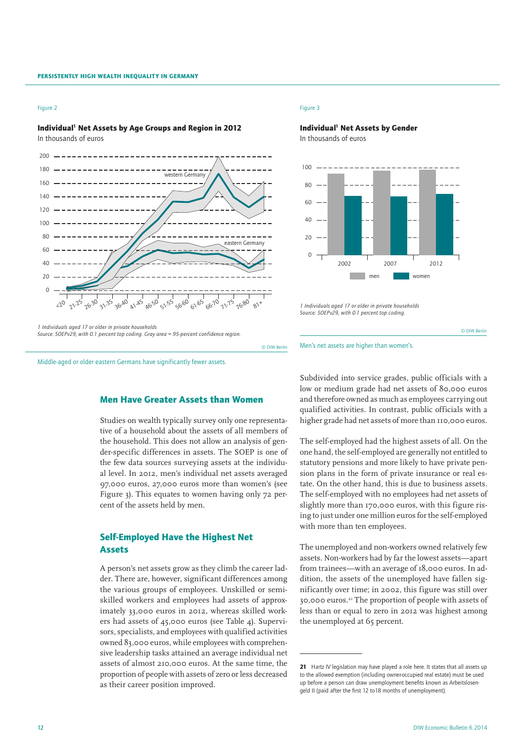## Figure 2

## Individual<sup>1</sup> Net Assets by Age Groups and Region in 2012

In thousands of euros



*Source: SOEPv29, with 0.1 percent top coding. Gray area = 95-percent confidence region.*

Middle-aged or older eastern Germans have significantly fewer assets.

# Men Have Greater Assets than Women

Studies on wealth typically survey only one representative of a household about the assets of all members of the household. This does not allow an analysis of gender-specific differences in assets. The SOEP is one of the few data sources surveying assets at the individual level. In 2012, men's individual net assets averaged 97,000 euros, 27,000 euros more than women's (see Figure 3). This equates to women having only 72 percent of the assets held by men.

# Self-Employed Have the Highest Net Assets

A person's net assets grow as they climb the career ladder. There are, however, significant differences among the various groups of employees. Unskilled or semiskilled workers and employees had assets of approximately 33,000 euros in 2012, whereas skilled workers had assets of 45,000 euros (see Table 4). Supervisors, specialists, and employees with qualified activities owned 83,000 euros, while employees with comprehensive leadership tasks attained an average individual net assets of almost 210,000 euros. At the same time, the proportion of people with assets of zero or less decreased as their career position improved.

#### Figure 3

Individual<sup>1</sup> Net Assets by Gender In thousands of euros



*1 Individuals aged 17 or older in private households Source: SOEPv29, with 0.1 percent top coding.*



Men's net assets are higher than women's.

© DIW Berlin

Subdivided into service grades, public officials with a low or medium grade had net assets of 80,000 euros and therefore owned as much as employees carrying out qualified activities. In contrast, public officials with a higher grade had net assets of more than 110,000 euros.

The self-employed had the highest assets of all. On the one hand, the self-employed are generally not entitled to statutory pensions and more likely to have private pension plans in the form of private insurance or real estate. On the other hand, this is due to business assets. The self-employed with no employees had net assets of slightly more than 170,000 euros, with this figure rising to just under one million euros for the self-employed with more than ten employees.

The unemployed and non-workers owned relatively few assets. Non-workers had by far the lowest assets—apart from trainees—with an average of 18,000 euros. In addition, the assets of the unemployed have fallen significantly over time; in 2002, this figure was still over 30,000 euros.21 The proportion of people with assets of less than or equal to zero in 2012 was highest among the unemployed at 65 percent.

<sup>21</sup> Hartz IV legislation may have played a role here. It states that all assets up to the allowed exemption (including owner-occupied real estate) must be used up before a person can draw unemployment benefits known as Arbeitslosengeld II (paid after the first 12 to18 months of unemployment).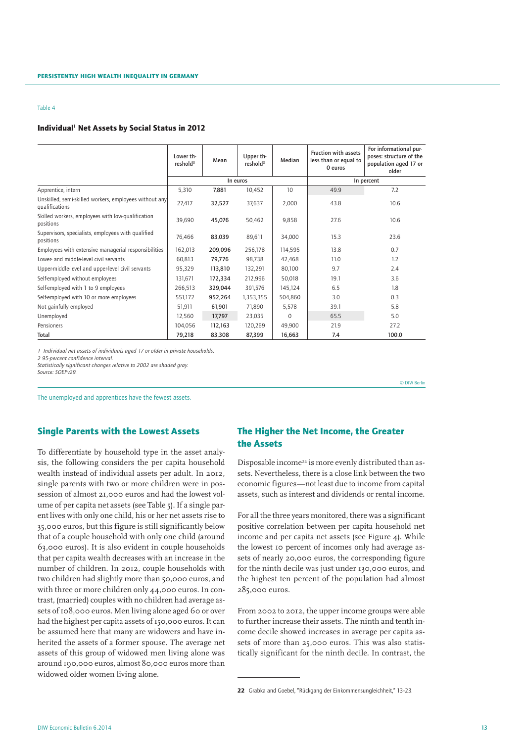## Individual<sup>1</sup> Net Assets by Social Status in 2012

|                                                                          | Lower th-<br>reshold <sup>3</sup> | Mean    | Upper th-<br>reshold <sup>3</sup> | Median   | <b>Fraction with assets</b><br>less than or equal to<br>0 euros | For informational pur-<br>poses: structure of the<br>population aged 17 or<br>older |  |  |  |
|--------------------------------------------------------------------------|-----------------------------------|---------|-----------------------------------|----------|-----------------------------------------------------------------|-------------------------------------------------------------------------------------|--|--|--|
|                                                                          |                                   |         | In euros                          |          |                                                                 | In percent                                                                          |  |  |  |
| Apprentice, intern                                                       | 5,310                             | 7,881   | 10,452                            | 10       | 49.9                                                            | 7.2                                                                                 |  |  |  |
| Unskilled, semi-skilled workers, employees without any<br>qualifications | 27,417                            | 32,527  | 37,637                            | 2,000    | 43.8                                                            | 10.6                                                                                |  |  |  |
| Skilled workers, employees with low-qualification<br>positions           | 39,690                            | 45,076  | 50,462                            | 9,858    | 27.6                                                            | 10.6                                                                                |  |  |  |
| Supervisors, specialists, employees with qualified<br>positions          | 76,466                            | 83,039  | 89,611                            | 34,000   | 15.3                                                            | 23.6                                                                                |  |  |  |
| Employees with extensive managerial responsibilities                     | 162,013                           | 209,096 | 256,178                           | 114,595  | 13.8                                                            | 0.7                                                                                 |  |  |  |
| Lower- and middle-level civil servants                                   | 60,813                            | 79,776  | 98,738                            | 42,468   | 11.0                                                            | 1.2                                                                                 |  |  |  |
| Upper-middle-level and upper-level civil servants                        | 95,329                            | 113,810 | 132,291                           | 80,100   | 9.7                                                             | 2.4                                                                                 |  |  |  |
| Self-employed without employees                                          | 131,671                           | 172,334 | 212,996                           | 50,018   | 19.1                                                            | 3.6                                                                                 |  |  |  |
| Self-employed with 1 to 9 employees                                      | 266,513                           | 329,044 | 391,576                           | 145,124  | 6.5                                                             | 1.8                                                                                 |  |  |  |
| Self-employed with 10 or more employees                                  | 551,172                           | 952,264 | 1,353,355                         | 504,860  | 3.0                                                             | 0.3                                                                                 |  |  |  |
| Not gainfully employed                                                   | 51,911                            | 61,901  | 71,890                            | 5,578    | 39.1                                                            | 5.8                                                                                 |  |  |  |
| Unemployed                                                               | 12,560                            | 17,797  | 23,035                            | $\Omega$ | 65.5                                                            | 5.0                                                                                 |  |  |  |
| Pensioners                                                               | 104,056                           | 112,163 | 120,269                           | 49,900   | 21.9                                                            | 27.2                                                                                |  |  |  |
| Total                                                                    | 79,218                            | 83,308  | 87,399                            | 16,663   | 7.4                                                             | 100.0                                                                               |  |  |  |

*1 Individual net assets of individuals aged 17 or older in private households.*

*2 95-percent confidence interval.*

*Statistically significant changes relative to 2002 are shaded gray.*

*Source: SOEPv29.*

The unemployed and apprentices have the fewest assets.

## Single Parents with the Lowest Assets

To differentiate by household type in the asset analysis, the following considers the per capita household wealth instead of individual assets per adult. In 2012, single parents with two or more children were in possession of almost 21,000 euros and had the lowest volume of per capita net assets (see Table 5). If a single parent lives with only one child, his or her net assets rise to 35,000 euros, but this figure is still significantly below that of a couple household with only one child (around 63,000 euros). It is also evident in couple households that per capita wealth decreases with an increase in the number of children. In 2012, couple households with two children had slightly more than 50,000 euros, and with three or more children only 44,000 euros. In contrast, (married) couples with no children had average assets of 108,000 euros. Men living alone aged 60 or over had the highest per capita assets of 150,000 euros. It can be assumed here that many are widowers and have inherited the assets of a former spouse. The average net assets of this group of widowed men living alone was around 190,000 euros, almost 80,000 euros more than widowed older women living alone.

# The Higher the Net Income, the Greater the Assets

Disposable income<sup>22</sup> is more evenly distributed than assets. Nevertheless, there is a close link between the two economic figures—not least due to income from capital assets, such as interest and dividends or rental income.

© DIW Berlin

For all the three years monitored, there was a significant positive correlation between per capita household net income and per capita net assets (see Figure  $\Delta$ ). While the lowest 10 percent of incomes only had average assets of nearly 20,000 euros, the corresponding figure for the ninth decile was just under 130,000 euros, and the highest ten percent of the population had almost 285,000 euros.

From 2002 to 2012, the upper income groups were able to further increase their assets. The ninth and tenth income decile showed increases in average per capita assets of more than 25,000 euros. This was also statistically significant for the ninth decile. In contrast, the

<sup>22</sup> Grabka and Goebel, "Rückgang der Einkommensungleichheit," 13–23.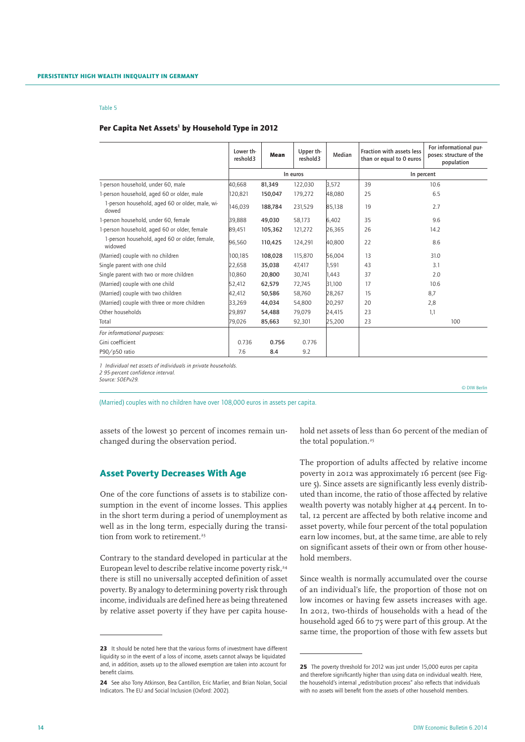## Per Capita Net Assets<sup>1</sup> by Household Type in 2012

|                                                          | Lower th-<br>reshold3 | Mean    | Upper th-<br>reshold3 | Median | Fraction with assets less<br>than or equal to 0 euros | For informational pur-<br>poses: structure of the<br>population |  |  |  |
|----------------------------------------------------------|-----------------------|---------|-----------------------|--------|-------------------------------------------------------|-----------------------------------------------------------------|--|--|--|
|                                                          |                       |         | In euros              |        | In percent                                            |                                                                 |  |  |  |
| 1-person household, under 60, male                       | 40.668                | 81,349  | 122,030               | 3.572  | 39                                                    | 10.6                                                            |  |  |  |
| 1-person household, aged 60 or older, male               | 120,821               | 150,047 | 179,272               | 48,080 | 25                                                    | 6.5                                                             |  |  |  |
| 1-person household, aged 60 or older, male, wi-<br>dowed | 146.039               | 188.784 | 231,529               | 85,138 | 19                                                    | 2.7                                                             |  |  |  |
| 1-person household, under 60, female                     | 39.888                | 49.030  | 58.173                | 6.402  | 35                                                    | 9.6                                                             |  |  |  |
| 1-person household, aged 60 or older, female             | 89,451                | 105,362 | 121.272               | 26,365 | 26                                                    | 14.2                                                            |  |  |  |
| 1-person household, aged 60 or older, female,<br>widowed | 96,560                | 110,425 | 124,291               | 40,800 | 22                                                    | 8.6                                                             |  |  |  |
| (Married) couple with no children                        | 100,185               | 108,028 | 115,870               | 56.004 | 13                                                    | 31.0                                                            |  |  |  |
| Single parent with one child                             | 22,658                | 35,038  | 47,417                | 1.591  | 43                                                    | 3.1                                                             |  |  |  |
| Single parent with two or more children                  | 10.860                | 20,800  | 30.741                | 1.443  | 37                                                    | 2.0                                                             |  |  |  |
| (Married) couple with one child                          | 52.412                | 62,579  | 72.745                | 31.100 | 17                                                    | 10.6                                                            |  |  |  |
| (Married) couple with two children                       | 42,412                | 50,586  | 58,760                | 28,267 | 15                                                    | 8,7                                                             |  |  |  |
| (Married) couple with three or more children             | 33,269                | 44,034  | 54,800                | 20,297 | 20                                                    | 2,8                                                             |  |  |  |
| Other households                                         | 29,897                | 54,488  | 79,079                | 24,415 | 23                                                    | 1,1                                                             |  |  |  |
| Total                                                    | 79,026                | 85,663  | 92,301                | 25,200 | 23                                                    | 100                                                             |  |  |  |
| For informational purposes:                              |                       |         |                       |        |                                                       |                                                                 |  |  |  |
| Gini coefficient                                         | 0.736                 | 0.756   | 0.776                 |        |                                                       |                                                                 |  |  |  |
| P90/p50 ratio                                            | 7.6                   | 8.4     | 9.2                   |        |                                                       |                                                                 |  |  |  |

*1 Individual net assets of individuals in private households. 2 95-percent confidence interval.*

*Source: SOEPv29.*

(Married) couples with no children have over 108,000 euros in assets per capita.

assets of the lowest 30 percent of incomes remain unchanged during the observation period.

## Asset Poverty Decreases With Age

One of the core functions of assets is to stabilize consumption in the event of income losses. This applies in the short term during a period of unemployment as well as in the long term, especially during the transition from work to retirement.<sup>23</sup>

Contrary to the standard developed in particular at the European level to describe relative income poverty risk,<sup>24</sup> there is still no universally accepted definition of asset poverty. By analogy to determining poverty risk through income, individuals are defined here as being threatened by relative asset poverty if they have per capita household net assets of less than 60 percent of the median of the total population.<sup>25</sup>

© DIW Berlin

The proportion of adults affected by relative income poverty in 2012 was approximately 16 percent (see Figure 5). Since assets are significantly less evenly distributed than income, the ratio of those affected by relative wealth poverty was notably higher at 44 percent. In total, 12 percent are affected by both relative income and asset poverty, while four percent of the total population earn low incomes, but, at the same time, are able to rely on significant assets of their own or from other household members.

Since wealth is normally accumulated over the course of an individual's life, the proportion of those not on low incomes or having few assets increases with age. In 2012, two-thirds of households with a head of the household aged 66 to 75 were part of this group. At the same time, the proportion of those with few assets but

<sup>23</sup> It should be noted here that the various forms of investment have different liquidity so in the event of a loss of income, assets cannot always be liquidated and, in addition, assets up to the allowed exemption are taken into account for benefit claims.

<sup>24</sup> See also Tony Atkinson, Bea Cantillon, Eric Marlier, and Brian Nolan, Social Indicators. The EU and Social Inclusion (Oxford: 2002).

<sup>25</sup> The poverty threshold for 2012 was just under 15,000 euros per capita and therefore significantly higher than using data on individual wealth. Here, the household's internal "redistribution process" also reflects that individuals with no assets will benefit from the assets of other household members.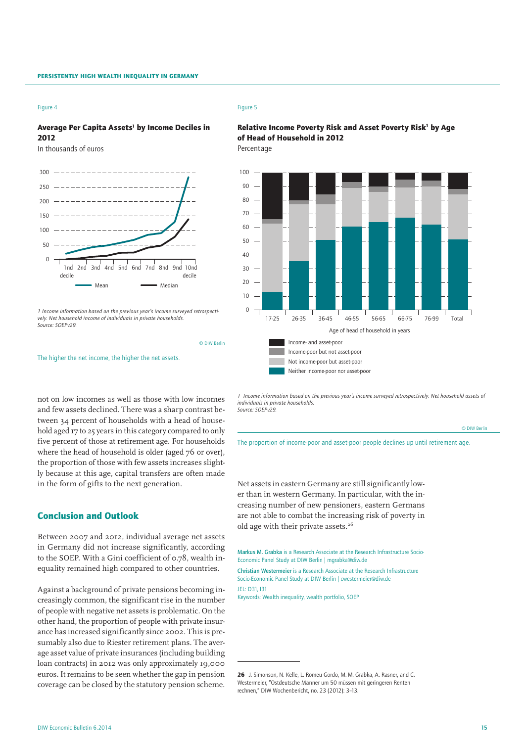#### Figure 4

# Average Per Capita Assets<sup>1</sup> by Income Deciles in 2012

In thousands of euros



*1 Income information based on the previous year's income surveyed retrospectively. Net household income of individuals in private households. Source: SOEPv29.*

not on low incomes as well as those with low incomes and few assets declined. There was a sharp contrast between 34 percent of households with a head of household aged 17 to 25 years in this category compared to only five percent of those at retirement age. For households where the head of household is older (aged 76 or over), the proportion of those with few assets increases slightly because at this age, capital transfers are often made

The higher the net income, the higher the net assets.

## Figure 5

© DIW Berlin

## Relative Income Poverty Risk and Asset Poverty Risk<sup>1</sup> by Age of Head of Household in 2012 Percentage



Neither income-poor nor asset-poor

*1 Income information based on the previous year's income surveyed retrospectively. Net household assets of individuals in private households. Source: SOEPv29.*

| © DIW Berlin |
|--------------|
|              |

The proportion of income-poor and asset-poor people declines up until retirement age.

Net assets in eastern Germany are still significantly lower than in western Germany. In particular, with the increasing number of new pensioners, eastern Germans are not able to combat the increasing risk of poverty in old age with their private assets.<sup>26</sup>

Markus M. Grabka is a Research Associate at the Research Infrastructure Socio-Economic Panel Study at DIW Berlin | mgrabka@diw.de

Christian Westermeier is a Research Associate at the Research Infrastructure Socio-Economic Panel Study at DIW Berlin | cwestermeier@diw.de JEL: D31, I31

Keywords: Wealth inequality, wealth portfolio, SOEP

# Conclusion and Outlook

in the form of gifts to the next generation.

Between 2007 and 2012, individual average net assets in Germany did not increase significantly, according to the SOEP. With a Gini coefficient of 0.78, wealth inequality remained high compared to other countries.

Against a background of private pensions becoming increasingly common, the significant rise in the number of people with negative net assets is problematic. On the other hand, the proportion of people with private insurance has increased significantly since 2002. This is presumably also due to Riester retirement plans. The average asset value of private insurances (including building loan contracts) in 2012 was only approximately 19,000 euros. It remains to be seen whether the gap in pension coverage can be closed by the statutory pension scheme.

<sup>26</sup> J. Simonson, N. Kelle, L. Romeu Gordo, M. M. Grabka, A. Rasner, and C. Westermeier, "Ostdeutsche Männer um 50 müssen mit geringeren Renten rechnen," DIW Wochenbericht, no. 23 (2012): 3–13.